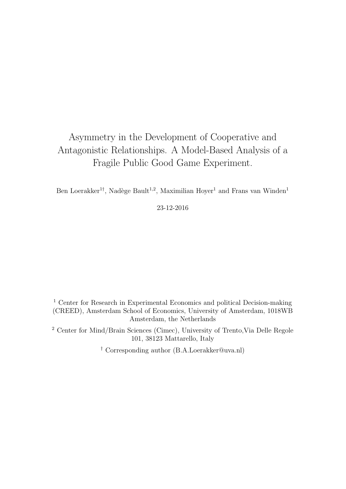# Asymmetry in the Development of Cooperative and Antagonistic Relationships. A Model-Based Analysis of a Fragile Public Good Game Experiment.

Ben Loerakker<sup>1†</sup>, Nadège Bault<sup>1,2</sup>, Maximilian Hoyer<sup>1</sup> and Frans van Winden<sup>1</sup>

23-12-2016

 $^{\rm 1}$  Center for Research in Experimental Economics and political Decision-making (CREED), Amsterdam School of Economics, University of Amsterdam, 1018WB Amsterdam, the Netherlands

<sup>2</sup> Center for Mind/Brain Sciences (Cimec), University of Trento,Via Delle Regole 101, 38123 Mattarello, Italy

† Corresponding author (B.A.Loerakker@uva.nl)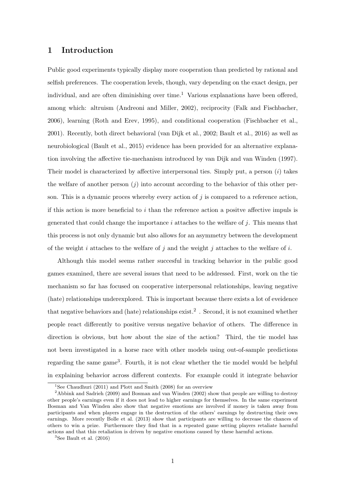## 1 Introduction

Public good experiments typically display more cooperation than predicted by rational and selfish preferences. The cooperation levels, though, vary depending on the exact design, per individual, and are often diminishing over time.<sup>[1](#page-1-0)</sup> Various explanations have been offered, among which: altruism [\(Andreoni and Miller, 2002\)](#page-28-0), reciprocity [\(Falk and Fischbacher,](#page-29-0) [2006\)](#page-29-0), learning [\(Roth and Erev, 1995\)](#page-30-0), and conditional cooperation [\(Fischbacher et al.,](#page-29-1) [2001\)](#page-29-1). Recently, both direct behavioral [\(van Dijk et al., 2002;](#page-30-1) [Bault et al., 2016\)](#page-28-1) as well as neurobiological [\(Bault et al., 2015\)](#page-28-2) evidence has been provided for an alternative explanation involving the affective tie-mechanism introduced by [van Dijk and van Winden](#page-30-2) [\(1997\)](#page-30-2). Their model is characterized by affective interpersonal ties. Simply put, a person  $(i)$  takes the welfare of another person  $(i)$  into account according to the behavior of this other person. This is a dynamic proces whereby every action of  $j$  is compared to a reference action, if this action is more beneficial to  $i$  than the reference action a positve affective impuls is generated that could change the importance  $i$  attaches to the welfare of  $j$ . This means that this process is not only dynamic but also allows for an asymmetry between the development of the weight i attaches to the welfare of j and the weight j attaches to the welfare of i.

Although this model seems rather succesful in tracking behavior in the public good games examined, there are several issues that need to be addressed. First, work on the tie mechanism so far has focused on cooperative interpersonal relationships, leaving negative (hate) relationships underexplored. This is important because there exists a lot of eveidence that negative behaviors and (hate) relationships exist.<sup>[2](#page-1-1)</sup> . Second, it is not examined whether people react differently to positive versus negative behavior of others. The difference in direction is obvious, but how about the size of the action? Third, the tie model has not been investigated in a horse race with other models using out-of-sample predictions regarding the same game<sup>[3](#page-1-2)</sup>. Fourth, it is not clear whether the tie model would be helpful in explaining behavior across different contexts. For example could it integrate behavior

<span id="page-1-1"></span><span id="page-1-0"></span><sup>&</sup>lt;sup>1</sup>See [Chaudhuri](#page-29-2) [\(2011\)](#page-29-2) and [Plott and Smith](#page-30-3) [\(2008\)](#page-30-3) for an overview

<sup>&</sup>lt;sup>2</sup>[Abbink and Sadrieh](#page-28-3) [\(2009\)](#page-28-3) and [Bosman and van Winden](#page-29-3) [\(2002\)](#page-29-3) show that people are willing to destroy other people's earnings even if it does not lead to higher earnings for themselves. In the same experiment Bosman and Van Winden also show that negative emotions are involved if money is taken away from participants and when players engage in the destruction of the others' earnings by destructing their own earnings. More recently [Bolle et al.](#page-29-4) [\(2013\)](#page-29-4) show that participants are willing to decrease the chances of others to win a prize. Furthermore they find that in a repeated game setting players retaliate harmful actions and that this retaliation is driven by negative emotions caused by these harmful actions.

<span id="page-1-2"></span> ${}^{3}$ See [Bault et al.](#page-28-1) [\(2016\)](#page-28-1)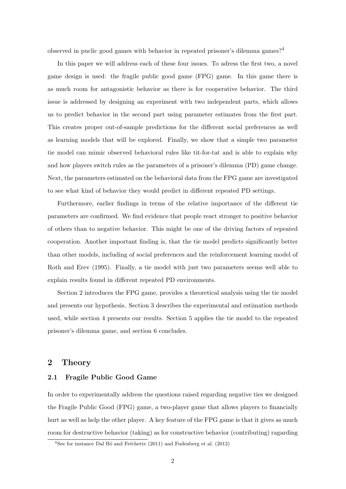observed in puclic good games with behavior in repeated prisoner's dilemma games?[4](#page-2-0)

In this paper we will address each of these four issues. To adress the first two, a novel game design is used: the fragile public good game (FPG) game. In this game there is as much room for antagonistic behavior as there is for cooperative behavior. The third issue is addressed by designing an experiment with two independent parts, which allows us to predict behavior in the second part using parameter estimates from the first part. This creates proper out-of-sample predictions for the different social preferences as well as learning models that will be explored. Finally, we show that a simple two parameter tie model can mimic observed behavioral rules like tit-for-tat and is able to explain why and how players switch rules as the parameters of a prisoner's dilemma (PD) game change. Next, the parameters estimated on the behavioral data from the FPG game are investigated to see what kind of behavior they would predict in different repeated PD settings.

Furthermore, earlier findings in terms of the relative importance of the different tie parameters are confirmed. We find evidence that people react stronger to positive behavior of others than to negative behavior. This might be one of the driving factors of repeated cooperation. Another important finding is, that the tie model predicts significantly better than other models, including of social preferences and the reinforcement learning model of [Roth and Erev](#page-30-0) [\(1995\)](#page-30-0). Finally, a tie model with just two parameters seems well able to explain results found in different repeated PD environments.

Section 2 introduces the FPG game, provides a theoretical analysis using the tie model and presents our hypothesis. Section 3 describes the experimental and estimation methods used, while section 4 presents our results. Section 5 applies the tie model to the repeated prisoner's dilemma game, and section 6 concludes.

#### 2 Theory

#### 2.1 Fragile Public Good Game

In order to experimentally address the questions raised regarding negative ties we designed the Fragile Public Good (FPG) game, a two-player game that allows players to financially hurt as well as help the other player. A key feature of the FPG game is that it gives as much room for destructive behavior (taking) as for constructive behavior (contributing) ragarding

<span id="page-2-0"></span> $4$ See for instance Dal Bó and Fréchette [\(2011\)](#page-29-5) and [Fudenberg et al.](#page-29-6) [\(2012\)](#page-29-6)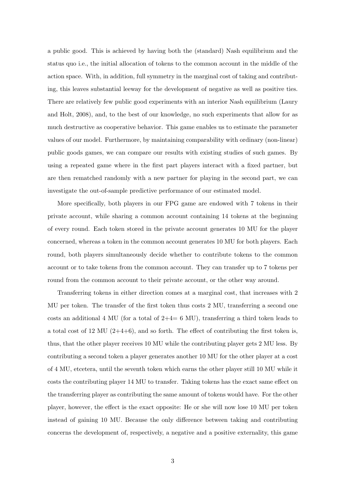a public good. This is achieved by having both the (standard) Nash equilibrium and the status quo i.e., the initial allocation of tokens to the common account in the middle of the action space. With, in addition, full symmetry in the marginal cost of taking and contributing, this leaves substantial leeway for the development of negative as well as positive ties. There are relatively few public good experiments with an interior Nash equilibrium [\(Laury](#page-30-4) [and Holt, 2008\)](#page-30-4), and, to the best of our knowledge, no such experiments that allow for as much destructive as cooperative behavior. This game enables us to estimate the parameter values of our model. Furthermore, by maintaining comparability with ordinary (non-linear) public goods games, we can compare our results with existing studies of such games. By using a repeated game where in the first part players interact with a fixed partner, but are then rematched randomly with a new partner for playing in the second part, we can investigate the out-of-sample predictive performance of our estimated model.

More specifically, both players in our FPG game are endowed with 7 tokens in their private account, while sharing a common account containing 14 tokens at the beginning of every round. Each token stored in the private account generates 10 MU for the player concerned, whereas a token in the common account generates 10 MU for both players. Each round, both players simultaneously decide whether to contribute tokens to the common account or to take tokens from the common account. They can transfer up to 7 tokens per round from the common account to their private account, or the other way around.

Transferring tokens in either direction comes at a marginal cost, that increases with 2 MU per token. The transfer of the first token thus costs 2 MU, transferring a second one costs an additional 4 MU (for a total of  $2+4=6$  MU), transferring a third token leads to a total cost of 12 MU  $(2+4+6)$ , and so forth. The effect of contributing the first token is, thus, that the other player receives 10 MU while the contributing player gets 2 MU less. By contributing a second token a player generates another 10 MU for the other player at a cost of 4 MU, etcetera, until the seventh token which earns the other player still 10 MU while it costs the contributing player 14 MU to transfer. Taking tokens has the exact same effect on the transferring player as contributing the same amount of tokens would have. For the other player, however, the effect is the exact opposite: He or she will now lose 10 MU per token instead of gaining 10 MU. Because the only difference between taking and contributing concerns the development of, respectively, a negative and a positive externality, this game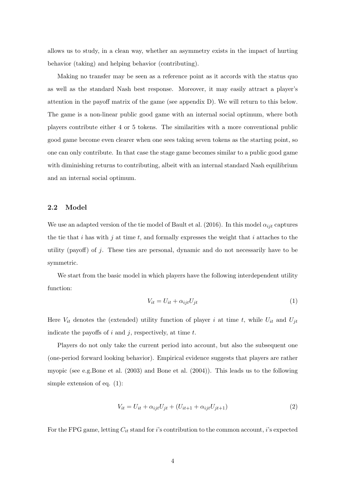allows us to study, in a clean way, whether an asymmetry exists in the impact of hurting behavior (taking) and helping behavior (contributing).

Making no transfer may be seen as a reference point as it accords with the status quo as well as the standard Nash best response. Moreover, it may easily attract a player's attention in the payoff matrix of the game (see appendix D). We will return to this below. The game is a non-linear public good game with an internal social optimum, where both players contribute either 4 or 5 tokens. The similarities with a more conventional public good game become even clearer when one sees taking seven tokens as the starting point, so one can only contribute. In that case the stage game becomes similar to a public good game with diminishing returns to contributing, albeit with an internal standard Nash equilibrium and an internal social optimum.

#### 2.2 Model

We use an adapted version of the tie model of [Bault et al.](#page-28-1) [\(2016\)](#page-28-1). In this model  $\alpha_{ijt}$  captures the tie that i has with j at time t, and formally expresses the weight that i attaches to the utility (payoff) of  $j$ . These ties are personal, dynamic and do not necessarily have to be symmetric.

We start from the basic model in which players have the following interdependent utility function:

<span id="page-4-0"></span>
$$
V_{it} = U_{it} + \alpha_{ijt} U_{jt} \tag{1}
$$

Here  $V_{it}$  denotes the (extended) utility function of player i at time t, while  $U_{it}$  and  $U_{jt}$ indicate the payoffs of  $i$  and  $j$ , respectively, at time  $t$ .

Players do not only take the current period into account, but also the subsequent one (one-period forward looking behavior). Empirical evidence suggests that players are rather myopic (see e.g[.Bone et al.](#page-29-7) [\(2003\)](#page-29-7) and [Bone et al.](#page-29-8) [\(2004\)](#page-29-8)). This leads us to the following simple extension of eq. [\(1\)](#page-4-0):

<span id="page-4-1"></span>
$$
V_{it} = U_{it} + \alpha_{ijt} U_{jt} + (U_{it+1} + \alpha_{ijt} U_{jt+1})
$$
\n(2)

For the FPG game, letting  $C_{it}$  stand for i's contribution to the common account, i's expected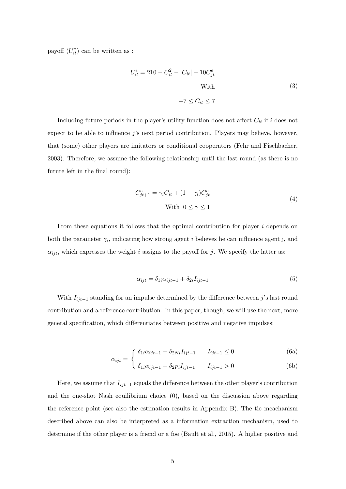payoff  $(U_{it}^e)$  can be written as :

$$
U_{it}^{e} = 210 - C_{it}^{2} - |C_{it}| + 10C_{jt}^{e}
$$
  
With  

$$
-7 \le C_{it} \le 7
$$
 (3)

Including future periods in the player's utility function does not affect  $C_{it}$  if i does not expect to be able to influence  $j$ 's next period contribution. Players may believe, however, that (some) other players are imitators or conditional cooperators [\(Fehr and Fischbacher,](#page-29-9) [2003\)](#page-29-9). Therefore, we assume the following relationship until the last round (as there is no future left in the final round):

$$
C_{jt+1}^{e} = \gamma_i C_{it} + (1 - \gamma_i) C_{jt}^{e}
$$
  
With  $0 \le \gamma \le 1$  (4)

<span id="page-5-1"></span>From these equations it follows that the optimal contribution for player  $i$  depends on both the parameter  $\gamma_i$ , indicating how strong agent *i* believes he can influence agent *j*, and  $\alpha_{ijt}$ , which expresses the weight i assigns to the payoff for j. We specify the latter as:

<span id="page-5-2"></span>
$$
\alpha_{ijt} = \delta_{1i}\alpha_{ijt-1} + \delta_{2i}I_{ijt-1} \tag{5}
$$

With  $I_{ijt-1}$  standing for an impulse determined by the difference between j's last round contribution and a reference contribution. In this paper, though, we will use the next, more general specification, which differentiates between positive and negative impulses:

$$
\alpha_{iit} = \begin{cases} \delta_{1i}\alpha_{ijt-1} + \delta_{2Ni}I_{ijt-1} & I_{ijt-1} \le 0 \\ \end{cases}
$$
 (6a)

$$
i_{jl} = \n\begin{cases} \n\delta_{1i} \alpha_{ijt-1} + \delta_{2Pi} I_{ijt-1} & I_{ijt-1} > 0\n\end{cases} \n\tag{6b}
$$

<span id="page-5-0"></span>Here, we assume that  $I_{ijt-1}$  equals the difference between the other player's contribution and the one-shot Nash equilibrium choice (0), based on the discussion above regarding the reference point (see also the estimation results in Appendix B). The tie meachanism described above can also be interpreted as a information extraction mechanism, used to determine if the other player is a friend or a foe [\(Bault et al., 2015\)](#page-28-2). A higher positive and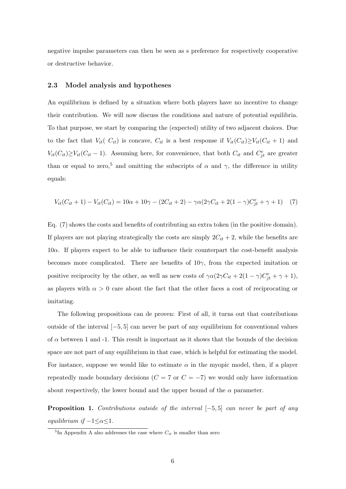negative impulse parameters can then be seen as s preference for respectively cooperative or destructive behavior.

#### 2.3 Model analysis and hypotheses

An equilibrium is defined by a situation where both players have no incentive to change their contribution. We will now discuss the conditions and nature of potential equilibria. To that purpose, we start by comparing the (expected) utility of two adjacent choices. Due to the fact that  $V_{it}(C_{it})$  is concave,  $C_{it}$  is a best response if  $V_{it}(C_{it})\geq V_{it}(C_{it}+1)$  and  $V_{it}(C_{it}) \geq V_{it}(C_{it}-1)$ . Assuming here, for convenience, that both  $C_{it}$  and  $C_{jt}^e$  are greater than or equal to zero,<sup>[5](#page-6-0)</sup> and omitting the subscripts of  $\alpha$  and  $\gamma$ , the difference in utility equals:

<span id="page-6-1"></span>
$$
V_{it}(C_{it}+1) - V_{it}(C_{it}) = 10\alpha + 10\gamma - (2C_{it}+2) - \gamma\alpha(2\gamma C_{it} + 2(1-\gamma)C_{jt}^e + \gamma + 1)
$$
 (7)

Eq. [\(7\)](#page-6-1) shows the costs and benefits of contributing an extra token (in the positive domain). If players are not playing strategically the costs are simply  $2C_{it} + 2$ , while the benefits are  $10\alpha$ . If players expect to be able to influence their counterpart the cost-benefit analysis becomes more complicated. There are benefits of  $10\gamma$ , from the expected imitation or positive reciprocity by the other, as well as new costs of  $\gamma \alpha (2\gamma C_{it} + 2(1 - \gamma)C_{jt}^e + \gamma + 1)$ , as players with  $\alpha > 0$  care about the fact that the other faces a cost of reciprocating or imitating.

The following propositions can de proven: First of all, it turns out that contributions outside of the interval [−5, 5] can never be part of any equilibrium for conventional values of  $\alpha$  between 1 and -1. This result is important as it shows that the bounds of the decision space are not part of any equilibrium in that case, which is helpful for estimating the model. For instance, suppose we would like to estimate  $\alpha$  in the myopic model, then, if a player repeatedly made boundary decisions ( $C = 7$  or  $C = -7$ ) we would only have information about respectively, the lower bound and the upper bound of the  $\alpha$  parameter.

**Proposition 1.** Contributions outside of the interval  $[-5, 5]$  can never be part of any equilibrium if  $-1 \leq \alpha \leq 1$ .

<span id="page-6-0"></span><sup>&</sup>lt;sup>5</sup>In Appendix A also addresses the case where  $C_{it}$  is smaller than zero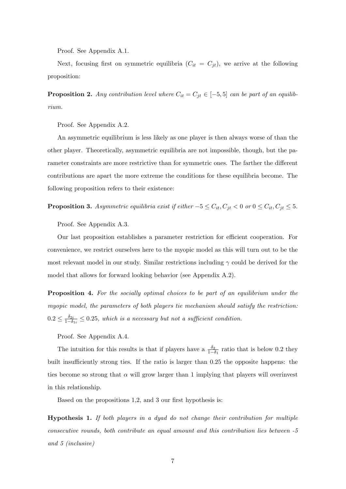Proof. See Appendix A.1.

Next, focusing first on symmetric equilibria  $(C_{it} = C_{jt})$ , we arrive at the following proposition:

**Proposition 2.** Any contribution level where  $C_{it} = C_{jt} \in [-5, 5]$  can be part of an equilibrium.

Proof. See Appendix A.2.

An asymmetric equilibrium is less likely as one player is then always worse of than the other player. Theoretically, asymmetric equilibria are not impossible, though, but the parameter constraints are more restrictive than for symmetric ones. The farther the different contributions are apart the more extreme the conditions for these equilibria become. The following proposition refers to their existence:

**Proposition 3.** Asymmetric equilibria exist if either  $-5 \le C_{it}$ ,  $C_{jt} < 0$  or  $0 \le C_{it}$ ,  $C_{jt} \le 5$ .

Proof. See Appendix A.3.

Our last proposition establishes a parameter restriction for efficient cooperation. For convenience, we restrict ourselves here to the myopic model as this will turn out to be the most relevant model in our study. Similar restrictions including  $\gamma$  could be derived for the model that allows for forward looking behavior (see Appendix A.2).

**Proposition 4.** For the socially optimal choices to be part of an equilibrium under the myopic model, the parameters of both players tie mechanism should satisfy the restriction:  $0.2 \leq \frac{\delta_{2i}}{1-\delta}$  $\frac{\delta_{2i}}{1-\delta_{1i}} \leq 0.25$ , which is a necessary but not a sufficient condition.

Proof. See Appendix A.4.

The intuition for this results is that if players have a  $\frac{\delta_2}{1-\delta_1}$  ratio that is below 0.2 they built insufficiently strong ties. If the ratio is larger than 0.25 the opposite happens: the ties become so strong that  $\alpha$  will grow larger than 1 implying that players will overinvest in this relationship.

Based on the propositions 1,2, and 3 our first hypothesis is:

Hypothesis 1. If both players in a dyad do not change their contribution for multiple consecutive rounds, both contribute an equal amount and this contribution lies between -5 and 5 (inclusive)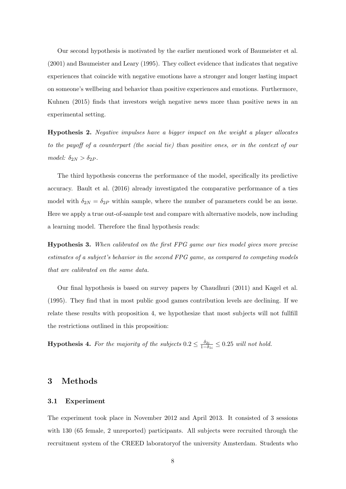Our second hypothesis is motivated by the earlier mentioned work of [Baumeister et al.](#page-29-10) [\(2001\)](#page-29-10) and [Baumeister and Leary](#page-29-11) [\(1995\)](#page-29-11). They collect evidence that indicates that negative experiences that coincide with negative emotions have a stronger and longer lasting impact on someone's wellbeing and behavior than positive experiences and emotions. Furthermore, [Kuhnen](#page-30-5) [\(2015\)](#page-30-5) finds that investors weigh negative news more than positive news in an experimental setting.

Hypothesis 2. Negative impulses have a bigger impact on the weight a player allocates to the payoff of a counterpart (the social tie) than positive ones, or in the context of our model:  $\delta_{2N} > \delta_{2P}$ .

The third hypothesis concerns the performance of the model, specifically its predictive accuracy. [Bault et al.](#page-28-1) [\(2016\)](#page-28-1) already investigated the comparative performance of a ties model with  $\delta_{2N} = \delta_{2P}$  within sample, where the number of parameters could be an issue. Here we apply a true out-of-sample test and compare with alternative models, now including a learning model. Therefore the final hypothesis reads:

Hypothesis 3. When calibrated on the first FPG game our ties model gives more precise estimates of a subject's behavior in the second FPG game, as compared to competing models that are calibrated on the same data.

Our final hypothesis is based on survey papers by [Chaudhuri](#page-29-2) [\(2011\)](#page-29-2) and [Kagel et al.](#page-29-12) [\(1995\)](#page-29-12). They find that in most public good games contribution levels are declining. If we relate these results with proposition 4, we hypothesize that most subjects will not fullfill the restrictions outlined in this proposition:

**Hypothesis 4.** For the majority of the subjects  $0.2 \le \frac{\delta_{2i}}{1-\delta}$  $\frac{\delta_{2i}}{1-\delta_{1i}} \leq 0.25$  will not hold.

#### 3 Methods

#### 3.1 Experiment

The experiment took place in November 2012 and April 2013. It consisted of 3 sessions with 130 (65 female, 2 unreported) participants. All subjects were recruited through the recruitment system of the CREED laboratoryof the university Amsterdam. Students who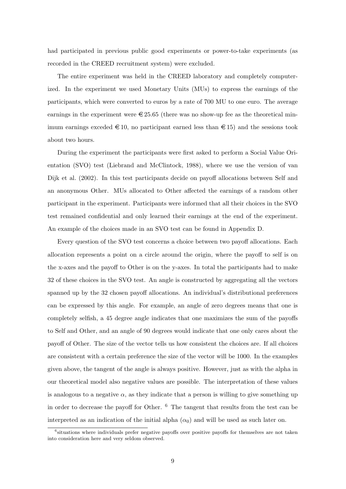had participated in previous public good experiments or power-to-take experiments (as recorded in the CREED recruitment system) were excluded.

The entire experiment was held in the CREED laboratory and completely computerized. In the experiment we used Monetary Units (MUs) to express the earnings of the participants, which were converted to euros by a rate of 700 MU to one euro. The average earnings in the experiment were  $\epsilon$  25.65 (there was no show-up fee as the theoretical minimum earnings exceded  $\in$  10, no participant earned less than  $\in$  15) and the sessions took about two hours.

During the experiment the participants were first asked to perform a Social Value Orientation (SVO) test [\(Liebrand and McClintock, 1988\)](#page-30-6), where we use the version of [van](#page-30-1) [Dijk et al.](#page-30-1) [\(2002\)](#page-30-1). In this test participants decide on payoff allocations between Self and an anonymous Other. MUs allocated to Other affected the earnings of a random other participant in the experiment. Participants were informed that all their choices in the SVO test remained confidential and only learned their earnings at the end of the experiment. An example of the choices made in an SVO test can be found in Appendix D.

Every question of the SVO test concerns a choice between two payoff allocations. Each allocation represents a point on a circle around the origin, where the payoff to self is on the x-axes and the payoff to Other is on the y-axes. In total the participants had to make 32 of these choices in the SVO test. An angle is constructed by aggregating all the vectors spanned up by the 32 chosen payoff allocations. An individual's distributional preferences can be expressed by this angle. For example, an angle of zero degrees means that one is completely selfish, a 45 degree angle indicates that one maximizes the sum of the payoffs to Self and Other, and an angle of 90 degrees would indicate that one only cares about the payoff of Other. The size of the vector tells us how consistent the choices are. If all choices are consistent with a certain preference the size of the vector will be 1000. In the examples given above, the tangent of the angle is always positive. However, just as with the alpha in our theoretical model also negative values are possible. The interpretation of these values is analogous to a negative  $\alpha$ , as they indicate that a person is willing to give something up in order to decrease the payoff for Other. [6](#page-9-0) The tangent that results from the test can be interpreted as an indication of the initial alpha  $(\alpha_0)$  and will be used as such later on.

<span id="page-9-0"></span><sup>&</sup>lt;sup>6</sup>situations where individuals prefer negative payoffs over positive payoffs for themselves are not taken into consideration here and very seldom observed.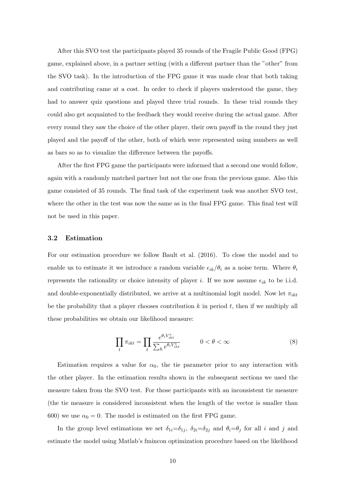After this SVO test the participants played 35 rounds of the Fragile Public Good (FPG) game, explained above, in a partner setting (with a different partner than the "other" from the SVO task). In the introduction of the FPG game it was made clear that both taking and contributing came at a cost. In order to check if players understood the game, they had to answer quiz questions and played three trial rounds. In these trial rounds they could also get acquainted to the feedback they would receive during the actual game. After every round they saw the choice of the other player, their own payoff in the round they just played and the payoff of the other, both of which were represented using numbers as well as bars so as to visualize the difference between the payoffs.

After the first FPG game the participants were informed that a second one would follow, again with a randomly matched partner but not the one from the previous game. Also this game consisted of 35 rounds. The final task of the experiment task was another SVO test, where the other in the test was now the same as in the final FPG game. This final test will not be used in this paper.

#### 3.2 Estimation

For our estimation procedure we follow [Bault et al.](#page-28-1) [\(2016\)](#page-28-1). To close the model and to enable us to estimate it we introduce a random variable  $\epsilon_{ik}/\theta_i$  as a noise term. Where  $\theta_i$ represents the rationality or choice intensity of player *i*. If we now assume  $\epsilon_{ik}$  to be i.i.d. and double-exponentially distributed, we arrive at a multinomial logit model. Now let  $\pi_{ikt}$ be the probability that a player chooses contribution  $k$  in period  $t$ , then if we multiply all these probabilities we obtain our likelihood measure:

<span id="page-10-0"></span>
$$
\prod_{t} \pi_{ikt} = \prod_{t} \frac{e^{\theta_i V_{ikt}^e}}{\sum_{h} e^{\theta_i V_{iht}^e}} \qquad 0 < \theta < \infty \tag{8}
$$

Estimation requires a value for  $\alpha_0$ , the tie parameter prior to any interaction with the other player. In the estimation results shown in the subsequent sections we used the measure taken from the SVO test. For those participants with an inconsistent tie measure (the tie measure is considered inconsistent when the length of the vector is smaller than 600) we use  $\alpha_0 = 0$ . The model is estimated on the first FPG game.

In the group level estimations we set  $\delta_{1i}=\delta_{1j}$ ,  $\delta_{2i}=\delta_{2j}$  and  $\theta_i=\theta_j$  for all i and j and estimate the model using Matlab's fmincon optimization procedure based on the likelihood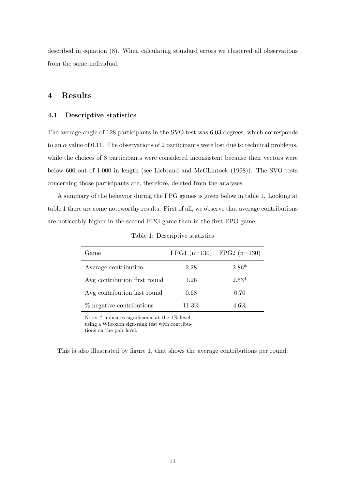described in equation [\(8\)](#page-10-0). When calculating standard errors we clustered all observations from the same individual.

#### 4 Results

#### 4.1 Descriptive statistics

The average angle of 128 participants in the SVO test was 6.03 degrees, which corresponds to an  $\alpha$  value of 0.11. The observations of 2 participants were lost due to technical problems, while the choices of 8 participants were considered inconsistent because their vectors were below 600 out of 1,000 in length (see Liebrand and McCLintock (1998)). The SVO tests concerning those participants are, therefore, deleted from the analyses.

A summary of the behavior during the FPG games is given below in table 1. Looking at table 1 there are some noteworthy results. First of all, we observe that average contributions are noticeably higher in the second FPG game than in the first FPG game:

Table 1: Descriptive statistics

| Game                         |       | FPG1 $(n=130)$ FPG2 $(n=130)$ |
|------------------------------|-------|-------------------------------|
| Average contribution         | 2.28  | $2.86*$                       |
| Avg contribution first round | 1.26  | $2.53*$                       |
| Avg contribution last round  | 0.68  | 0.70                          |
| % negative contributions     | 11.3% | $4.6\%$                       |

Note: \* indicates significance at the 1% level, using a Wilcoxon sign-rank test with contribu-

tions on the pair level.

This is also illustrated by figure 1, that shows the average contributions per round: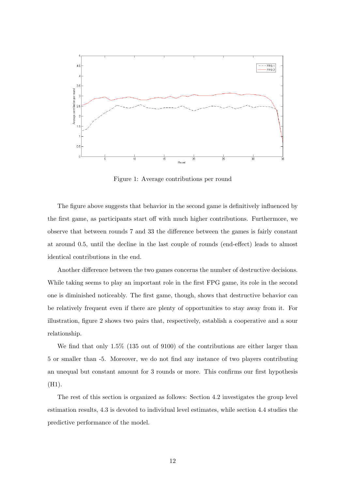

Figure 1: Average contributions per round

The figure above suggests that behavior in the second game is definitively influenced by the first game, as participants start off with much higher contributions. Furthermore, we observe that between rounds 7 and 33 the difference between the games is fairly constant at around 0.5, until the decline in the last couple of rounds (end-effect) leads to almost identical contributions in the end.

Another difference between the two games concerns the number of destructive decisions. While taking seems to play an important role in the first FPG game, its role in the second one is diminished noticeably. The first game, though, shows that destructive behavior can be relatively frequent even if there are plenty of opportunities to stay away from it. For illustration, figure 2 shows two pairs that, respectively, establish a cooperative and a sour relationship.

We find that only 1.5% (135 out of 9100) of the contributions are either larger than 5 or smaller than -5. Moreover, we do not find any instance of two players contributing an unequal but constant amount for 3 rounds or more. This confirms our first hypothesis (H1).

The rest of this section is organized as follows: Section 4.2 investigates the group level estimation results, 4.3 is devoted to individual level estimates, while section 4.4 studies the predictive performance of the model.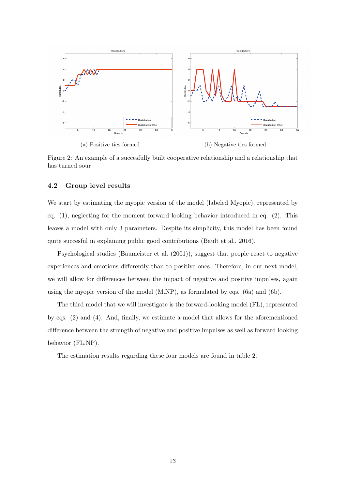

Figure 2: An example of a succesfully built cooperative relationship and a relationship that has turned sour

#### 4.2 Group level results

We start by estimating the myopic version of the model (labeled Myopic), represented by eq. [\(1\)](#page-4-0), neglecting for the moment forward looking behavior introduced in eq. [\(2\)](#page-4-1). This leaves a model with only 3 parameters. Despite its simplicity, this model has been found quite succesful in explaining public good contributions [\(Bault et al., 2016\)](#page-28-1).

Psychological studies [\(Baumeister et al.](#page-29-10) [\(2001\)](#page-29-10)), suggest that people react to negative experiences and emotions differently than to positive ones. Therefore, in our next model, we will allow for differences between the impact of negative and positive impulses, again using the myopic version of the model  $(M.NP)$ , as formulated by eqs.  $(6a)$  and  $(6b)$ .

The third model that we will investigate is the forward-looking model (FL), represented by eqs. [\(2\)](#page-4-1) and [\(4\)](#page-5-1). And, finally, we estimate a model that allows for the aforementioned difference between the strength of negative and positive impulses as well as forward looking behavior (FL.NP).

The estimation results regarding these four models are found in table 2.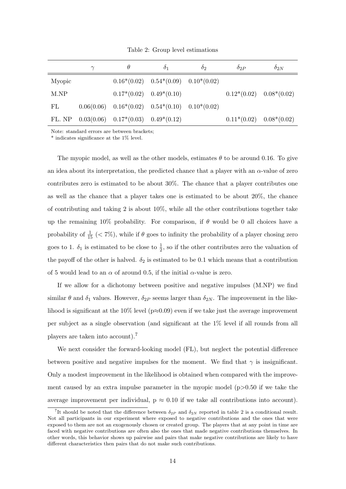Table 2: Group level estimations

|        | $\theta$                                 | $\delta_1$                                             | $\delta_2$ | $\delta_{2P}$ | $\delta_{2N}$               |
|--------|------------------------------------------|--------------------------------------------------------|------------|---------------|-----------------------------|
| Myopic |                                          | $0.16*(0.02)$ $0.54*(0.09)$ $0.10*(0.02)$              |            |               |                             |
| M.NP   | $0.17*(0.02)$ $0.49*(0.10)$              |                                                        |            |               | $0.12*(0.02)$ $0.08*(0.02)$ |
| FL     |                                          | $0.06(0.06)$ $0.16*(0.02)$ $0.54*(0.10)$ $0.10*(0.02)$ |            |               |                             |
| FL. NP | $0.03(0.06)$ $0.17*(0.03)$ $0.49*(0.12)$ |                                                        |            |               | $0.11*(0.02)$ $0.08*(0.02)$ |

Note: standard errors are between brackets;

\* indicates significance at the 1% level.

The myopic model, as well as the other models, estimates  $\theta$  to be around 0.16. To give an idea about its interpretation, the predicted chance that a player with an  $\alpha$ -value of zero contributes zero is estimated to be about 30%. The chance that a player contributes one as well as the chance that a player takes one is estimated to be about 20%, the chance of contributing and taking 2 is about  $10\%$ , while all the other contributions together take up the remaining  $10\%$  probability. For comparison, if  $\theta$  would be 0 all choices have a probability of  $\frac{1}{15}$  (< 7%), while if  $\theta$  goes to infinity the probability of a player chosing zero goes to 1.  $\delta_1$  is estimated to be close to  $\frac{1}{2}$ , so if the other contributes zero the valuation of the payoff of the other is halved.  $\delta_2$  is estimated to be 0.1 which means that a contribution of 5 would lead to an  $\alpha$  of around 0.5, if the initial  $\alpha$ -value is zero.

If we allow for a dichotomy between positive and negative impulses (M.NP) we find similar  $\theta$  and  $\delta_1$  values. However,  $\delta_{2P}$  seems larger than  $\delta_{2N}$ . The improvement in the likelihood is significant at the 10% level ( $p \approx 0.09$ ) even if we take just the average improvement per subject as a single observation (and significant at the 1% level if all rounds from all players are taken into account).[7](#page-14-0)

We next consider the forward-looking model (FL), but neglect the potential difference between positive and negative impulses for the moment. We find that  $\gamma$  is insignificant. Only a modest improvement in the likelihood is obtained when compared with the improvement caused by an extra impulse parameter in the myopic model  $(p>0.50)$  if we take the average improvement per individual,  $p \approx 0.10$  if we take all contributions into account).

<span id="page-14-0"></span><sup>&</sup>lt;sup>7</sup>It should be noted that the difference between  $\delta_{2P}$  and  $\delta_{2N}$  reported in table 2 is a conditional result. Not all participants in our experiment where exposed to negative contributions and the ones that were exposed to them are not an exogenously chosen or created group. The players that at any point in time are faced with negative contributions are often also the ones that made negative contributions themselves. In other words, this behavior shows up pairwise and pairs that make negative contributions are likely to have different characteristics then pairs that do not make such contributions.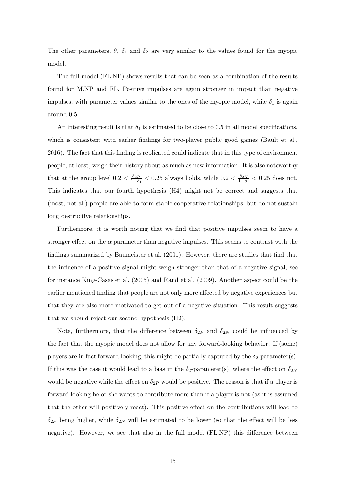The other parameters,  $\theta$ ,  $\delta_1$  and  $\delta_2$  are very similar to the values found for the myopic model.

The full model (FL.NP) shows results that can be seen as a combination of the results found for M.NP and FL. Positive impulses are again stronger in impact than negative impulses, with parameter values similar to the ones of the myopic model, while  $\delta_1$  is again around 0.5.

An interesting result is that  $\delta_1$  is estimated to be close to 0.5 in all model specifications, which is consistent with earlier findings for two-player public good games [\(Bault et al.,](#page-28-1) [2016\)](#page-28-1). The fact that this finding is replicated could indicate that in this type of environment people, at least, weigh their history about as much as new information. It is also noteworthy that at the group level  $0.2 < \frac{\delta_{2P}}{1-\delta}$  $\frac{\delta_{2P}}{1-\delta_1}$  < 0.25 always holds, while 0.2 <  $\frac{\delta_{2P}}{1-\delta}$  $\frac{\delta_{2N}}{1-\delta_1}$  < 0.25 does not. This indicates that our fourth hypothesis (H4) might not be correct and suggests that (most, not all) people are able to form stable cooperative relationships, but do not sustain long destructive relationships.

Furthermore, it is worth noting that we find that positive impulses seem to have a stronger effect on the  $\alpha$  parameter than negative impulses. This seems to contrast with the findings summarized by [Baumeister et al.](#page-29-10) [\(2001\)](#page-29-10). However, there are studies that find that the influence of a positive signal might weigh stronger than that of a negative signal, see for instance [King-Casas et al.](#page-29-13) [\(2005\)](#page-29-13) and [Rand et al.](#page-30-7) [\(2009\)](#page-30-7). Another aspect could be the earlier mentioned finding that people are not only more affected by negative experiences but that they are also more motivated to get out of a negative situation. This result suggests that we should reject our second hypothesis (H2).

Note, furthermore, that the difference between  $\delta_{2P}$  and  $\delta_{2N}$  could be influenced by the fact that the myopic model does not allow for any forward-looking behavior. If (some) players are in fact forward looking, this might be partially captured by the  $\delta_2$ -parameter(s). If this was the case it would lead to a bias in the  $\delta_2$ -parameter(s), where the effect on  $\delta_{2N}$ would be negative while the effect on  $\delta_{2P}$  would be positive. The reason is that if a player is forward looking he or she wants to contribute more than if a player is not (as it is assumed that the other will positively react). This positive effect on the contributions will lead to  $\delta_{2P}$  being higher, while  $\delta_{2N}$  will be estimated to be lower (so that the effect will be less negative). However, we see that also in the full model (FL.NP) this difference between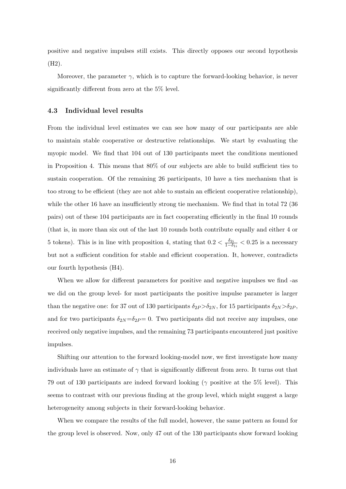positive and negative impulses still exists. This directly opposes our second hypothesis (H2).

Moreover, the parameter  $\gamma$ , which is to capture the forward-looking behavior, is never significantly different from zero at the 5% level.

#### 4.3 Individual level results

From the individual level estimates we can see how many of our participants are able to maintain stable cooperative or destructive relationships. We start by evaluating the myopic model. We find that 104 out of 130 participants meet the conditions mentioned in Proposition 4. This means that 80% of our subjects are able to build sufficient ties to sustain cooperation. Of the remaining 26 participants, 10 have a ties mechanism that is too strong to be efficient (they are not able to sustain an efficient cooperative relationship), while the other 16 have an insufficiently strong tie mechanism. We find that in total 72 (36) pairs) out of these 104 participants are in fact cooperating efficiently in the final 10 rounds (that is, in more than six out of the last 10 rounds both contribute equally and either 4 or 5 tokens). This is in line with proposition 4, stating that  $0.2 < \frac{\delta_{2i}}{1-\delta}$  $\frac{\delta_{2i}}{1-\delta_{1i}} < 0.25$  is a necessary but not a sufficient condition for stable and efficient cooperation. It, however, contradicts our fourth hypothesis (H4).

When we allow for different parameters for positive and negative impulses we find -as we did on the group level- for most participants the positive impulse parameter is larger than the negative one: for 37 out of 130 participants  $\delta_{2P} > \delta_{2N}$ , for 15 participants  $\delta_{2N} > \delta_{2P}$ , and for two participants  $\delta_{2N} = \delta_{2P} = 0$ . Two participants did not receive any impulses, one received only negative impulses, and the remaining 73 participants encountered just positive impulses.

Shifting our attention to the forward looking-model now, we first investigate how many individuals have an estimate of  $\gamma$  that is significantly different from zero. It turns out that 79 out of 130 participants are indeed forward looking ( $\gamma$  positive at the 5% level). This seems to contrast with our previous finding at the group level, which might suggest a large heterogeneity among subjects in their forward-looking behavior.

When we compare the results of the full model, however, the same pattern as found for the group level is observed. Now, only 47 out of the 130 participants show forward looking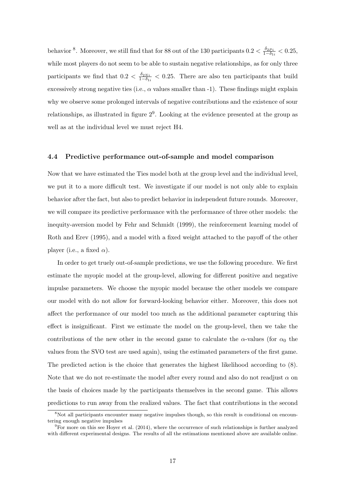behavior <sup>[8](#page-17-0)</sup>. Moreover, we still find that for 88 out of the 130 participants  $0.2 < \frac{\delta_{2P_i}}{1-\delta_i}$  $\frac{\sigma_{2Pi}}{1-\delta_{1i}} < 0.25,$ while most players do not seem to be able to sustain negative relationships, as for only three participants we find that  $0.2 < \frac{\delta_{2Ni}}{1-\delta_1}$  $\frac{\partial 2Ni}{1-\delta_{1i}} < 0.25$ . There are also ten participants that build excessively strong negative ties (i.e.,  $\alpha$  values smaller than -1). These findings might explain why we observe some prolonged intervals of negative contributions and the existence of sour relationships, as illustrated in figure  $2<sup>9</sup>$  $2<sup>9</sup>$  $2<sup>9</sup>$ . Looking at the evidence presented at the group as well as at the individual level we must reject H4.

#### 4.4 Predictive performance out-of-sample and model comparison

Now that we have estimated the Ties model both at the group level and the individual level, we put it to a more difficult test. We investigate if our model is not only able to explain behavior after the fact, but also to predict behavior in independent future rounds. Moreover, we will compare its predictive performance with the performance of three other models: the inequity-aversion model by [Fehr and Schmidt](#page-29-14) [\(1999\)](#page-29-14), the reinforcement learning model of [Roth and Erev](#page-30-0) [\(1995\)](#page-30-0), and a model with a fixed weight attached to the payoff of the other player (i.e., a fixed  $\alpha$ ).

In order to get truely out-of-sample predictions, we use the following procedure. We first estimate the myopic model at the group-level, allowing for different positive and negative impulse parameters. We choose the myopic model because the other models we compare our model with do not allow for forward-looking behavior either. Moreover, this does not affect the performance of our model too much as the additional parameter capturing this effect is insignificant. First we estimate the model on the group-level, then we take the contributions of the new other in the second game to calculate the  $\alpha$ -values (for  $\alpha_0$  the values from the SVO test are used again), using the estimated parameters of the first game. The predicted action is the choice that generates the highest likelihood according to [\(8\)](#page-10-0). Note that we do not re-estimate the model after every round and also do not readjust  $\alpha$  on the basis of choices made by the participants themselves in the second game. This allows predictions to run away from the realized values. The fact that contributions in the second

<span id="page-17-0"></span><sup>&</sup>lt;sup>8</sup>Not all participants encounter many negative impulses though, so this result is conditional on encountering enough negative impulses

<span id="page-17-1"></span> $^{9}$ For more on this see [Hoyer et al.](#page-29-15) [\(2014\)](#page-29-15), where the occurrence of such relationships is further analyzed with different experimental designs. The results of all the estimations mentioned above are available online.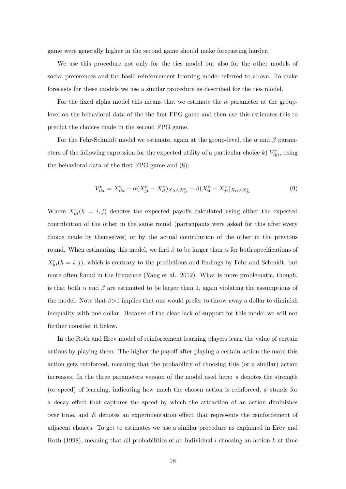game were generally higher in the second game should make forecasting harder.

We use this procedure not only for the ties model but also for the other models of social preferences and the basic reinforcement learning model referred to above. To make forecasts for these models we use a similar procedure as described for the ties model.

For the fixed alpha model this means that we estimate the  $\alpha$  parameter at the grouplevel on the behavioral data of the the first FPG game and then use this estimates this to predict the choices made in the second FPG game.

For the Fehr-Schmidt model we estimate, again at the group-level, the  $\alpha$  and  $\beta$  parameters of the following expression for the expected utility of a particular choice  $k$ )  $V_{ikt}^e$ , using the behavioral data of the first FPG game and [\(8\)](#page-10-0):

$$
V_{ikt}^{e} = X_{ikt}^{e} - \alpha (X_{jt}^{e} - X_{it}^{e})_{X_{it} < X_{jt}^{e}} - \beta (X_{it}^{e} - X_{jt}^{e})_{X_{it} > X_{jt}^{e}} \tag{9}
$$

Where  $X_{ht}^e(h = i, j)$  denotes the expected payoffs calculated using either the expected contribution of the other in the same round (participants were asked for this after every choice made by themselves) or by the actual contribution of the other in the previous round. When estimating this model, we find  $\beta$  to be larger than  $\alpha$  for both specifications of  $X_{ht}^e(h = i, j)$ , which is contrary to the predictions and findings by Fehr and Schmidt, but more often found in the literature [\(Yang et al., 2012\)](#page-30-8). What is more problematic, though, is that both  $\alpha$  and  $\beta$  are estimated to be larger than 1, again violating the assumptions of the model. Note that  $\beta > 1$  implies that one would prefer to throw away a dollar to diminish inequality with one dollar. Because of the clear lack of support for this model we will not further consider it below.

In the Roth and Erev model of reinforcement learning players learn the value of certain actions by playing them. The higher the payoff after playing a certain action the more this action gets reinforced, meaning that the probability of choosing this (or a similar) action increases. In the three parameters version of the model used here: s denotes the strength (or speed) of learning, indicating how much the chosen action is reinforced,  $\phi$  stands for a decay effect that captures the speed by which the attraction of an action diminishes over time, and E denotes an experimentation effect that represents the reinforcement of adjacent choices. To get to estimates we use a similar procedure as explained in [Erev and](#page-29-16) [Roth](#page-29-16) [\(1998\)](#page-29-16), meaning that all probabilities of an individual i choosing an action  $k$  at time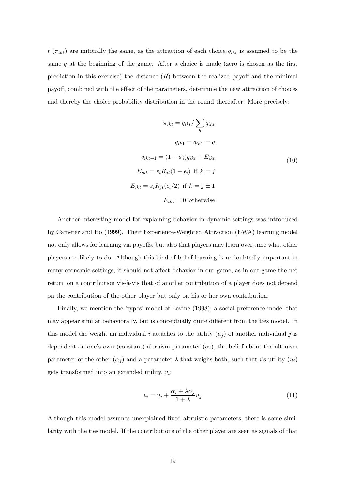$t(\pi_{ikt})$  are inititially the same, as the attraction of each choice  $q_{ikt}$  is assumed to be the same  $q$  at the beginning of the game. After a choice is made (zero is chosen as the first prediction in this exercise) the distance  $(R)$  between the realized payoff and the minimal payoff, combined with the effect of the parameters, determine the new attraction of choices and thereby the choice probability distribution in the round thereafter. More precisely:

$$
\pi_{ikt} = q_{ikt} / \sum_{h} q_{iht}
$$
  
\n
$$
q_{ik1} = q_{ih1} = q
$$
  
\n
$$
q_{ikt+1} = (1 - \phi_i)q_{ikt} + E_{ikt}
$$
  
\n
$$
E_{ikt} = s_i R_{jt} (1 - \epsilon_i) \text{ if } k = j
$$
  
\n
$$
E_{ikt} = s_i R_{jt} (\epsilon_i / 2) \text{ if } k = j \pm 1
$$
  
\n
$$
E_{ikt} = 0 \text{ otherwise}
$$

Another interesting model for explaining behavior in dynamic settings was introduced by [Camerer and Ho](#page-29-17) [\(1999\)](#page-29-17). Their Experience-Weighted Attraction (EWA) learning model not only allows for learning via payoffs, but also that players may learn over time what other players are likely to do. Although this kind of belief learning is undoubtedly important in many economic settings, it should not affect behavior in our game, as in our game the net return on a contribution vis- $\lambda$ -vis that of another contribution of a player does not depend on the contribution of the other player but only on his or her own contribution.

Finally, we mention the 'types' model of [Levine](#page-30-9) [\(1998\)](#page-30-9), a social preference model that may appear similar behaviorally, but is conceptually quite different from the ties model. In this model the weight an individual i attaches to the utility  $(u_i)$  of another individual j is dependent on one's own (constant) altruism parameter  $(\alpha_i)$ , the belief about the altruism parameter of the other  $(\alpha_i)$  and a parameter  $\lambda$  that weighs both, such that i's utility  $(u_i)$ gets transformed into an extended utility,  $v_i$ :

$$
v_i = u_i + \frac{\alpha_i + \lambda \alpha_j}{1 + \lambda} u_j \tag{11}
$$

Although this model assumes unexplained fixed altruistic parameters, there is some similarity with the ties model. If the contributions of the other player are seen as signals of that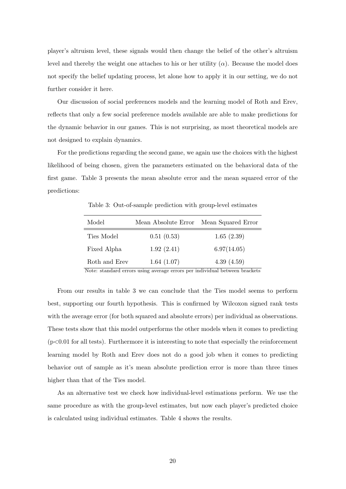player's altruism level, these signals would then change the belief of the other's altruism level and thereby the weight one attaches to his or her utility  $(\alpha)$ . Because the model does not specify the belief updating process, let alone how to apply it in our setting, we do not further consider it here.

Our discussion of social preferences models and the learning model of Roth and Erev, reflects that only a few social preference models available are able to make predictions for the dynamic behavior in our games. This is not surprising, as most theoretical models are not designed to explain dynamics.

For the predictions regarding the second game, we again use the choices with the highest likelihood of being chosen, given the parameters estimated on the behavioral data of the first game. Table 3 presents the mean absolute error and the mean squared error of the predictions:

| Model         | Mean Absolute Error | Mean Squared Error |
|---------------|---------------------|--------------------|
| Ties Model    | 0.51(0.53)          | 1.65(2.39)         |
| Fixed Alpha   | 1.92(2.41)          | 6.97(14.05)        |
| Roth and Erev | 1.64(1.07)          | 4.39(4.59)         |

Table 3: Out-of-sample prediction with group-level estimates

Note: standard errors using average errors per individual between brackets

From our results in table 3 we can conclude that the Ties model seems to perform best, supporting our fourth hypothesis. This is confirmed by Wilcoxon signed rank tests with the average error (for both squared and absolute errors) per individual as observations. These tests show that this model outperforms the other models when it comes to predicting  $(p<0.01$  for all tests). Furthermore it is interesting to note that especially the reinforcement learning model by Roth and Erev does not do a good job when it comes to predicting behavior out of sample as it's mean absolute prediction error is more than three times higher than that of the Ties model.

As an alternative test we check how individual-level estimations perform. We use the same procedure as with the group-level estimates, but now each player's predicted choice is calculated using individual estimates. Table 4 shows the results.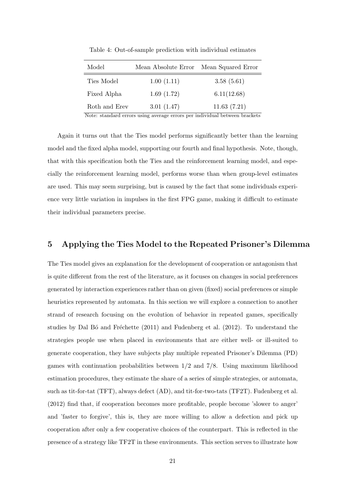| Model         | Mean Absolute Error Mean Squared Error |             |
|---------------|----------------------------------------|-------------|
| Ties Model    | 1.00(1.11)                             | 3.58(5.61)  |
| Fixed Alpha   | 1.69(1.72)                             | 6.11(12.68) |
| Roth and Erev | 3.01(1.47)                             | 11.63(7.21) |

Table 4: Out-of-sample prediction with individual estimates

Note: standard errors using average errors per individual between brackets

Again it turns out that the Ties model performs significantly better than the learning model and the fixed alpha model, supporting our fourth and final hypothesis. Note, though, that with this specification both the Ties and the reinforcement learning model, and especially the reinforcement learning model, performs worse than when group-level estimates are used. This may seem surprising, but is caused by the fact that some individuals experience very little variation in impulses in the first FPG game, making it difficult to estimate their individual parameters precise.

#### 5 Applying the Ties Model to the Repeated Prisoner's Dilemma

The Ties model gives an explanation for the development of cooperation or antagonism that is quite different from the rest of the literature, as it focuses on changes in social preferences generated by interaction experiences rather than on given (fixed) social preferences or simple heuristics represented by automata. In this section we will explore a connection to another strand of research focusing on the evolution of behavior in repeated games, specifically studies by Dal B $\acute{o}$  and Fréchette [\(2011\)](#page-29-5) and [Fudenberg et al.](#page-29-6) [\(2012\)](#page-29-6). To understand the strategies people use when placed in environments that are either well- or ill-suited to generate cooperation, they have subjects play multiple repeated Prisoner's Dilemma (PD) games with continuation probabilities between 1/2 and 7/8. Using maximum likelihood estimation procedures, they estimate the share of a series of simple strategies, or automata, such as tit-for-tat (TFT), always defect (AD), and tit-for-two-tats (TF2T). [Fudenberg et al.](#page-29-6) [\(2012\)](#page-29-6) find that, if cooperation becomes more profitable, people become 'slower to anger' and 'faster to forgive', this is, they are more willing to allow a defection and pick up cooperation after only a few cooperative choices of the counterpart. This is reflected in the presence of a strategy like TF2T in these environments. This section serves to illustrate how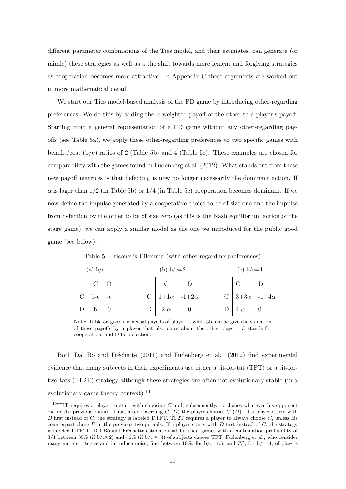different parameter combinations of the Ties model, and their estimates, can generate (or mimic) these strategies as well as a the shift towards more lenient and forgiving strategies as cooperation becomes more attractive. In Appendix C these arguments are worked out in more mathematical detail.

We start our Ties model-based analysis of the PD game by introducing other-regarding preferences. We do this by adding the  $\alpha$ -weighted payoff of the other to a player's payoff. Starting from a general representation of a PD game without any other-regarding payoffs (see Table 5a), we apply these other-regarding preferences to two specific games with benefit/cost  $(b/c)$  ratios of 2 (Table 5b) and 4 (Table 5c). These examples are chosen for comparability with the games found in [Fudenberg et al.](#page-29-6) [\(2012\)](#page-29-6). What stands out from these new payoff matrices is that defecting is now no longer necessarily the dominant action. If  $\alpha$  is lager than  $1/2$  (in Table 5b) or  $1/4$  (in Table 5c) cooperation becomes dominant. If we now define the impulse generated by a cooperative choice to be of size one and the impulse from defection by the other to be of size zero (as this is the Nash equilibrium action of the stage game), we can apply a similar model as the one we introduced for the public good game (see below).

Table 5: Prisoner's Dilemma (with other regarding preferences)

| (a) $b/c$ |                                         |  |  | (b) $b/c=2$                                    |                               | (c) $b/c=4$ |                             |  |  |  |
|-----------|-----------------------------------------|--|--|------------------------------------------------|-------------------------------|-------------|-----------------------------|--|--|--|
|           |                                         |  |  | $C$ D                                          |                               |             | $\mathbf C$ D               |  |  |  |
|           | $C \mid b-c \quad -c$                   |  |  |                                                | C   $1+1\alpha$ -1+2 $\alpha$ |             | C $3+3\alpha$ -1+4 $\alpha$ |  |  |  |
|           | $D \begin{bmatrix} b & 0 \end{bmatrix}$ |  |  | $D \begin{bmatrix} 2-\alpha & 0 \end{bmatrix}$ |                               |             | $D \mid 4-\alpha \quad 0$   |  |  |  |

Note: Table 5a gives the actual payoffs of player 1, while 5b and 5c give the valuation of these payoffs by a player that also cares about the other player. C stands for cooperation, and D for defection.

Both Dal B<sub>2</sub><sup>o</sup> and Fréchette  $(2011)$  and Fudenberg et al.  $(2012)$  find experimental evidence that many subjects in their experiments use either a tit-for-tat (TFT) or a tit-fortwo-tats (TF2T) strategy although these strategies are often not evolutionary stable (in a evolutionary game theory context).[10](#page-22-0)

<span id="page-22-0"></span><sup>&</sup>lt;sup>10</sup>TFT requires a player to start with choosing  $C$  and, subsequently, to choose whatever his opponent did in the previous round. Thus, after observing  $C(D)$  the player chooses  $C(D)$ . If a player starts with D first instead of C, the strategy is labeled DTFT. TF2T requires a player to always choose  $C$ , unless his counterpart chose  $D$  in the previous two periods. If a player starts with  $D$  first instead of  $C$ , the strategy is labeled DTF2T. Dal Bó and Fréchette estimate that for their games with a continuation probability of 3/4 between 35% (if b/c $\approx$ 2) and 56% (if b/c  $\approx$  4) of subjects choose TFT. Fudenberg et al., who consider many more strategies and introduce noise, find between 19%, for  $b/c=1.5$ , and 7%, for  $b/c=4$ , of players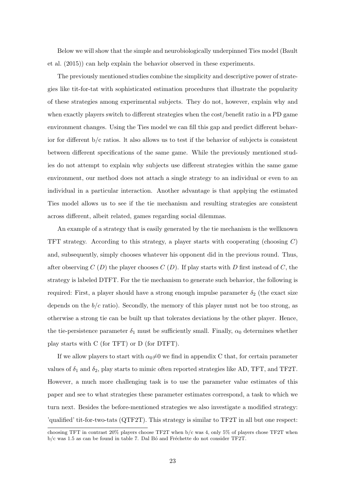Below we will show that the simple and neurobiologically underpinned Ties model [\(Bault](#page-28-2) [et al.](#page-28-2) [\(2015\)](#page-28-2)) can help explain the behavior observed in these experiments.

The previously mentioned studies combine the simplicity and descriptive power of strategies like tit-for-tat with sophisticated estimation procedures that illustrate the popularity of these strategies among experimental subjects. They do not, however, explain why and when exactly players switch to different strategies when the cost/benefit ratio in a PD game environment changes. Using the Ties model we can fill this gap and predict different behavior for different b/c ratios. lt also allows us to test if the behavior of subjects is consistent between different specifications of the same game. While the previously mentioned studies do not attempt to explain why subjects use different strategies within the same game environment, our method does not attach a single strategy to an individual or even to an individual in a particular interaction. Another advantage is that applying the estimated Ties model allows us to see if the tie mechanism and resulting strategies are consistent across different, albeit related, games regarding social dilemmas.

An example of a strategy that is easily generated by the tie mechanism is the wellknown TFT strategy. According to this strategy, a player starts with cooperating (choosing  $C$ ) and, subsequently, simply chooses whatever his opponent did in the previous round. Thus, after observing C  $(D)$  the player chooses C  $(D)$ . If play starts with D first instead of C, the strategy is labeled DTFT. For the tie mechanism to generate such behavior, the following is required: First, a player should have a strong enough impulse parameter  $\delta_2$  (the exact size depends on the  $b/c$  ratio). Secondly, the memory of this player must not be too strong, as otherwise a strong tie can be built up that tolerates deviations by the other player. Hence, the tie-persistence parameter  $\delta_1$  must be sufficiently small. Finally,  $\alpha_0$  determines whether play starts with C (for TFT) or D (for DTFT).

If we allow players to start with  $\alpha_0 \neq 0$  we find in appendix C that, for certain parameter values of  $\delta_1$  and  $\delta_2$ , play starts to mimic often reported strategies like AD, TFT, and TF2T. However, a much more challenging task is to use the parameter value estimates of this paper and see to what strategies these parameter estimates correspond, a task to which we turn next. Besides the before-mentioned strategies we also investigate a modified strategy: 'qualified' tit-for-two-tats (QTF2T). This strategy is similar to TF2T in all but one respect:

choosing TFT in contrast 20% players choose TF2T when b/c was 4, only 5% of players chose TF2T when  $b/c$  was 1.5 as can be found in table 7. Dal B $\acute{o}$  and Fréchette do not consider TF2T.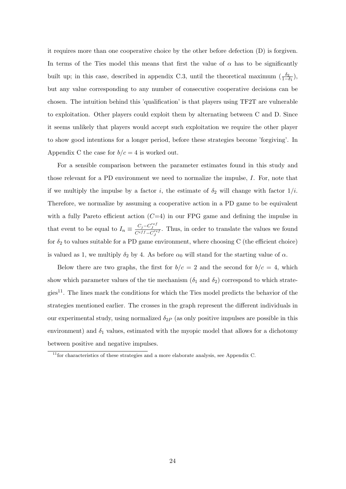it requires more than one cooperative choice by the other before defection (D) is forgiven. In terms of the Ties model this means that first the value of  $\alpha$  has to be significantly built up; in this case, described in appendix C.3, until the theoretical maximum  $(\frac{\delta_2}{1-\delta_1})$ , but any value corresponding to any number of consecutive cooperative decisions can be chosen. The intuition behind this 'qualification' is that players using TF2T are vulnerable to exploitation. Other players could exploit them by alternating between C and D. Since it seems unlikely that players would accept such exploitation we require the other player to show good intentions for a longer period, before these strategies become 'forgiving'. In Appendix C the case for  $b/c = 4$  is worked out.

For a sensible comparison between the parameter estimates found in this study and those relevant for a PD environment we need to normalize the impulse, I. For, note that if we multiply the impulse by a factor i, the estimate of  $\delta_2$  will change with factor  $1/i$ . Therefore, we normalize by assuming a cooperative action in a PD game to be equivalent with a fully Pareto efficient action  $(C=4)$  in our FPG game and defining the impulse in that event to be equal to  $I_n \equiv \frac{C_j - C_j^{ref}}{C^{eff} - C_j^{ref}}$ . Thus, in order to translate the values we found for  $\delta_2$  to values suitable for a PD game environment, where choosing C (the efficient choice) is valued as 1, we multiply  $\delta_2$  by 4. As before  $\alpha_0$  will stand for the starting value of  $\alpha$ .

Below there are two graphs, the first for  $b/c = 2$  and the second for  $b/c = 4$ , which show which parameter values of the tie mechanism ( $\delta_1$  and  $\delta_2$ ) correspond to which strate- $gies<sup>11</sup>$  $gies<sup>11</sup>$  $gies<sup>11</sup>$ . The lines mark the conditions for which the Ties model predicts the behavior of the strategies mentioned earlier. The crosses in the graph represent the different individuals in our experimental study, using normalized  $\delta_{2P}$  (as only positive impulses are possible in this environment) and  $\delta_1$  values, estimated with the myopic model that allows for a dichotomy between positive and negative impulses.

<span id="page-24-0"></span> $11$  for characteristics of these strategies and a more elaborate analysis, see Appendix C.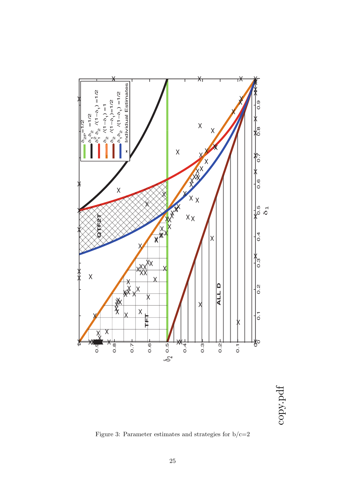

copy.pdf

Figure 3: Parameter estimates and strategies for  $b/c=2$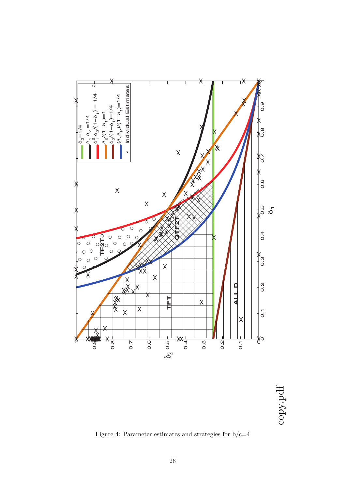

copy.pdf

Figure 4: Parameter estimates and strategies for  $b/c=4$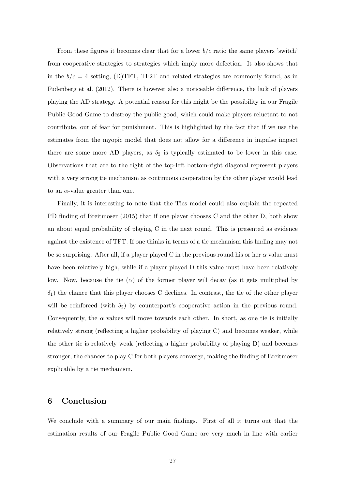From these figures it becomes clear that for a lower  $b/c$  ratio the same players 'switch' from cooperative strategies to strategies which imply more defection. It also shows that in the  $b/c = 4$  setting, (D)TFT, TF2T and related strategies are commonly found, as in [Fudenberg et al.](#page-29-6) [\(2012\)](#page-29-6). There is however also a noticeable difference, the lack of players playing the AD strategy. A potential reason for this might be the possibility in our Fragile Public Good Game to destroy the public good, which could make players reluctant to not contribute, out of fear for punishment. This is highlighted by the fact that if we use the estimates from the myopic model that does not allow for a difference in impulse impact there are some more AD players, as  $\delta_2$  is typically estimated to be lower in this case. Observations that are to the right of the top-left bottom-right diagonal represent players with a very strong tie mechanism as continuous cooperation by the other player would lead to an  $\alpha$ -value greater than one.

Finally, it is interesting to note that the Ties model could also explain the repeated PD finding of [Breitmoser](#page-29-18) [\(2015\)](#page-29-18) that if one player chooses C and the other D, both show an about equal probability of playing C in the next round. This is presented as evidence against the existence of TFT. If one thinks in terms of a tie mechanism this finding may not be so surprising. After all, if a player played C in the previous round his or her  $\alpha$  value must have been relatively high, while if a player played D this value must have been relatively low. Now, because the tie  $(\alpha)$  of the former player will decay (as it gets multiplied by  $\delta_1$ ) the chance that this player chooses C declines. In contrast, the tie of the other player will be reinforced (with  $\delta_2$ ) by counterpart's cooperative action in the previous round. Consequently, the  $\alpha$  values will move towards each other. In short, as one tie is initially relatively strong (reflecting a higher probability of playing C) and becomes weaker, while the other tie is relatively weak (reflecting a higher probability of playing D) and becomes stronger, the chances to play C for both players converge, making the finding of Breitmoser explicable by a tie mechanism.

#### 6 Conclusion

We conclude with a summary of our main findings. First of all it turns out that the estimation results of our Fragile Public Good Game are very much in line with earlier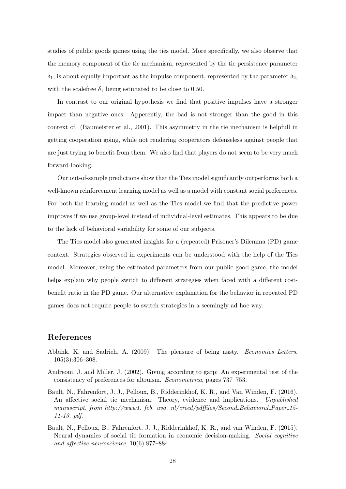studies of public goods games using the ties model. More specifically, we also observe that the memory component of the tie mechanism, represented by the tie persistence parameter  $\delta_1$ , is about equally important as the impulse component, represented by the parameter  $\delta_2$ , with the scalefree  $\delta_1$  being estimated to be close to 0.50.

In contrast to our original hypothesis we find that positive impulses have a stronger impact than negative ones. Apperently, the bad is not stronger than the good in this context cf. [\(Baumeister et al., 2001\)](#page-29-10). This asymmetry in the tie mechanism is helpfull in getting cooperation going, while not rendering cooperators defenseless against people that are just trying to benefit from them. We also find that players do not seem to be very much forward-looking.

Our out-of-sample predictions show that the Ties model significantly outperforms both a well-known reinforcement learning model as well as a model with constant social preferences. For both the learning model as well as the Ties model we find that the predictive power improves if we use group-level instead of individual-level estimates. This appears to be due to the lack of behavioral variability for some of our subjects.

The Ties model also generated insights for a (repeated) Prisoner's Dilemma (PD) game context. Strategies observed in experiments can be understood with the help of the Ties model. Moreover, using the estimated parameters from our public good game, the model helps explain why people switch to different strategies when faced with a different costbenefit ratio in the PD game. Our alternative explanation for the behavior in repeated PD games does not require people to switch strategies in a seemingly ad hoc way.

#### References

- <span id="page-28-3"></span>Abbink, K. and Sadrieh, A. (2009). The pleasure of being nasty. Economics Letters, 105(3):306–308.
- <span id="page-28-0"></span>Andreoni, J. and Miller, J. (2002). Giving according to garp: An experimental test of the consistency of preferences for altruism. Econometrica, pages 737–753.
- <span id="page-28-1"></span>Bault, N., Fahrenfort, J. J., Pelloux, B., Ridderinkhof, K. R., and Van Winden, F. (2016). An affective social tie mechanism: Theory, evidence and implications. Unpublished manuscript. from http://www1. feb. uva. nl/creed/pdffiles/Second\_Behavioral\_Paper\_15-11-13. pdf.
- <span id="page-28-2"></span>Bault, N., Pelloux, B., Fahrenfort, J. J., Ridderinkhof, K. R., and van Winden, F. (2015). Neural dynamics of social tie formation in economic decision-making. Social cognitive and affective neuroscience, 10(6):877–884.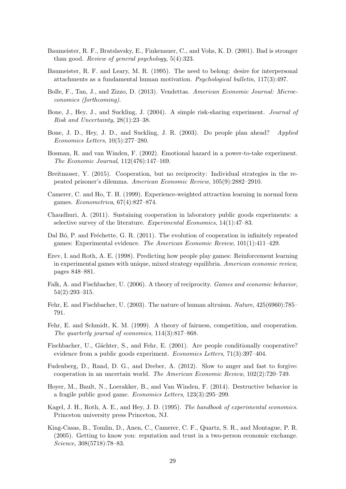- <span id="page-29-10"></span>Baumeister, R. F., Bratslavsky, E., Finkenauer, C., and Vohs, K. D. (2001). Bad is stronger than good. Review of general psychology, 5(4):323.
- <span id="page-29-11"></span>Baumeister, R. F. and Leary, M. R. (1995). The need to belong: desire for interpersonal attachments as a fundamental human motivation. Psychological bulletin, 117(3):497.
- <span id="page-29-4"></span>Bolle, F., Tan, J., and Zizzo, D. (2013). Vendettas. American Economic Journal: Microeconomics (forthcoming).
- <span id="page-29-8"></span>Bone, J., Hey, J., and Suckling, J. (2004). A simple risk-sharing experiment. Journal of Risk and Uncertainty, 28(1):23–38.
- <span id="page-29-7"></span>Bone, J. D., Hey, J. D., and Suckling, J. R. (2003). Do people plan ahead? Applied Economics Letters, 10(5):277–280.
- <span id="page-29-3"></span>Bosman, R. and van Winden, F. (2002). Emotional hazard in a power-to-take experiment. The Economic Journal, 112(476):147–169.
- <span id="page-29-18"></span>Breitmoser, Y. (2015). Cooperation, but no reciprocity: Individual strategies in the repeated prisoner's dilemma. American Economic Review, 105(9):2882–2910.
- <span id="page-29-17"></span>Camerer, C. and Ho, T. H. (1999). Experience-weighted attraction learning in normal form games. Econometrica, 67(4):827–874.
- <span id="page-29-2"></span>Chaudhuri, A. (2011). Sustaining cooperation in laboratory public goods experiments: a selective survey of the literature. Experimental Economics, 14(1):47–83.
- <span id="page-29-5"></span>Dal Bó, P. and Fréchette, G. R. (2011). The evolution of cooperation in infinitely repeated games: Experimental evidence. The American Economic Review, 101(1):411–429.
- <span id="page-29-16"></span>Erev, I. and Roth, A. E. (1998). Predicting how people play games: Reinforcement learning in experimental games with unique, mixed strategy equilibria. American economic review, pages 848–881.
- <span id="page-29-0"></span>Falk, A. and Fischbacher, U. (2006). A theory of reciprocity. Games and economic behavior, 54(2):293–315.
- <span id="page-29-9"></span>Fehr, E. and Fischbacher, U. (2003). The nature of human altruism. Nature, 425(6960):785– 791.
- <span id="page-29-14"></span>Fehr, E. and Schmidt, K. M. (1999). A theory of fairness, competition, and cooperation. The quarterly journal of economics, 114(3):817–868.
- <span id="page-29-1"></span>Fischbacher, U., Gächter, S., and Fehr, E. (2001). Are people conditionally cooperative? evidence from a public goods experiment. *Economics Letters*,  $71(3):397-404$ .
- <span id="page-29-6"></span>Fudenberg, D., Rand, D. G., and Dreber, A. (2012). Slow to anger and fast to forgive: cooperation in an uncertain world. The American Economic Review, 102(2):720–749.
- <span id="page-29-15"></span>Hoyer, M., Bault, N., Loerakker, B., and Van Winden, F. (2014). Destructive behavior in a fragile public good game. Economics Letters, 123(3):295–299.
- <span id="page-29-12"></span>Kagel, J. H., Roth, A. E., and Hey, J. D. (1995). The handbook of experimental economics. Princeton university press Princeton, NJ.
- <span id="page-29-13"></span>King-Casas, B., Tomlin, D., Anen, C., Camerer, C. F., Quartz, S. R., and Montague, P. R. (2005). Getting to know you: reputation and trust in a two-person economic exchange. Science, 308(5718):78–83.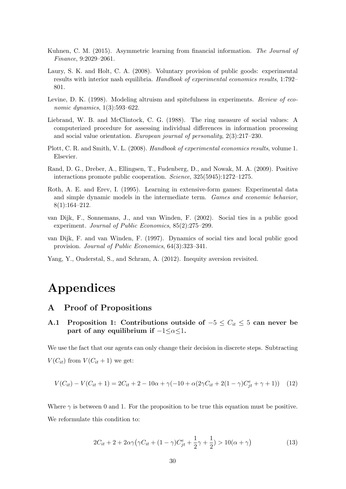- <span id="page-30-5"></span>Kuhnen, C. M. (2015). Asymmetric learning from financial information. The Journal of Finance, 9:2029–2061.
- <span id="page-30-4"></span>Laury, S. K. and Holt, C. A. (2008). Voluntary provision of public goods: experimental results with interior nash equilibria. Handbook of experimental economics results, 1:792– 801.
- <span id="page-30-9"></span>Levine, D. K. (1998). Modeling altruism and spitefulness in experiments. Review of economic dynamics, 1(3):593-622.
- <span id="page-30-6"></span>Liebrand, W. B. and McClintock, C. G. (1988). The ring measure of social values: A computerized procedure for assessing individual differences in information processing and social value orientation. European journal of personality, 2(3):217–230.
- <span id="page-30-3"></span>Plott, C. R. and Smith, V. L. (2008). Handbook of experimental economics results, volume 1. Elsevier.
- <span id="page-30-7"></span>Rand, D. G., Dreber, A., Ellingsen, T., Fudenberg, D., and Nowak, M. A. (2009). Positive interactions promote public cooperation. Science, 325(5945):1272–1275.
- <span id="page-30-0"></span>Roth, A. E. and Erev, I. (1995). Learning in extensive-form games: Experimental data and simple dynamic models in the intermediate term. Games and economic behavior,  $8(1):164-212.$
- <span id="page-30-1"></span>van Dijk, F., Sonnemans, J., and van Winden, F. (2002). Social ties in a public good experiment. Journal of Public Economics, 85(2):275–299.
- <span id="page-30-2"></span>van Dijk, F. and van Winden, F. (1997). Dynamics of social ties and local public good provision. Journal of Public Economics, 64(3):323–341.
- <span id="page-30-8"></span>Yang, Y., Onderstal, S., and Schram, A. (2012). Inequity aversion revisited.

# Appendices

#### A Proof of Propositions

A.1 Proposition 1: Contributions outside of  $-5 \le C_{it} \le 5$  can never be part of any equilibrium if  $-1 \leq \alpha \leq 1$ .

We use the fact that our agents can only change their decision in discrete steps. Subtracting  $V(C_{it})$  from  $V(C_{it} + 1)$  we get:

$$
V(C_{it}) - V(C_{it} + 1) = 2C_{it} + 2 - 10\alpha + \gamma(-10 + \alpha(2\gamma C_{it} + 2(1 - \gamma)C_{jt}^e + \gamma + 1))
$$
(12)

Where  $\gamma$  is between 0 and 1. For the proposition to be true this equation must be positive. We reformulate this condition to:

<span id="page-30-10"></span>
$$
2C_{it} + 2 + 2\alpha\gamma(\gamma C_{it} + (1 - \gamma)C_{jt}^e + \frac{1}{2}\gamma + \frac{1}{2}) > 10(\alpha + \gamma)
$$
 (13)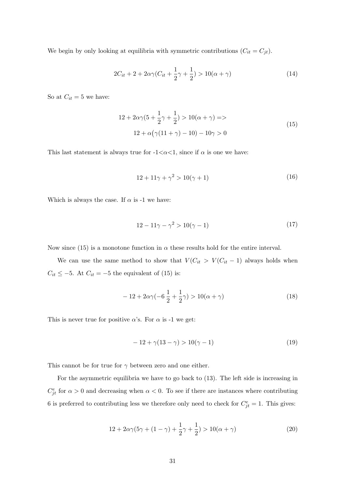We begin by only looking at equilibria with symmetric contributions  $(C_{it} = C_{jt})$ .

<span id="page-31-1"></span>
$$
2C_{it} + 2 + 2\alpha\gamma(C_{it} + \frac{1}{2}\gamma + \frac{1}{2}) > 10(\alpha + \gamma)
$$
 (14)

<span id="page-31-0"></span>So at  $C_{it} = 5$  we have:

$$
12 + 2\alpha\gamma(5 + \frac{1}{2}\gamma + \frac{1}{2}) > 10(\alpha + \gamma) =>
$$
  

$$
12 + \alpha(\gamma(11 + \gamma) - 10) - 10\gamma > 0
$$
 (15)

This last statement is always true for  $-1 < \alpha < 1$ , since if  $\alpha$  is one we have:

$$
12 + 11\gamma + \gamma^2 > 10(\gamma + 1)
$$
\n(16)

Which is always the case. If  $\alpha$  is -1 we have:

$$
12 - 11\gamma - \gamma^2 > 10(\gamma - 1)
$$
\n(17)

Now since [\(15\)](#page-31-0) is a monotone function in  $\alpha$  these results hold for the entire interval.

We can use the same method to show that  $V(C_{it} > V(C_{it} - 1))$  always holds when  $C_{it} \leq -5$ . At  $C_{it} = -5$  the equivalent of (15) is:

$$
-12 + 2\alpha\gamma(-6\frac{1}{2} + \frac{1}{2}\gamma) > 10(\alpha + \gamma)
$$
\n(18)

This is never true for positive  $\alpha$ 's. For  $\alpha$  is -1 we get:

$$
-12 + \gamma(13 - \gamma) > 10(\gamma - 1)
$$
\n(19)

This cannot be for true for  $\gamma$  between zero and one either.

For the asymmetric equilibria we have to go back to [\(13\)](#page-30-10). The left side is increasing in  $C_{jt}^e$  for  $\alpha > 0$  and decreasing when  $\alpha < 0$ . To see if there are instances where contributing 6 is preferred to contributing less we therefore only need to check for  $C_{jt}^e = 1$ . This gives:

$$
12 + 2\alpha\gamma(5\gamma + (1 - \gamma) + \frac{1}{2}\gamma + \frac{1}{2}) > 10(\alpha + \gamma)
$$
 (20)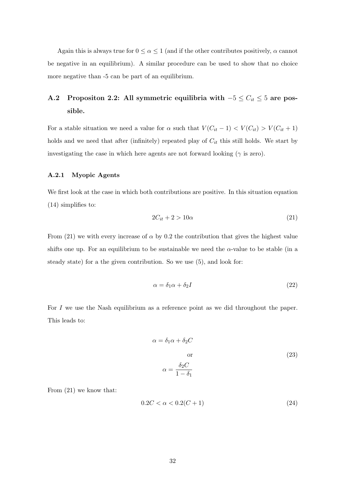Again this is always true for  $0 \leq \alpha \leq 1$  (and if the other contributes positively,  $\alpha$  cannot be negative in an equilibrium). A similar procedure can be used to show that no choice more negative than -5 can be part of an equilibrium.

## A.2 Propositon 2.2: All symmetric equilibria with  $-5 \le C_{it} \le 5$  are possible.

For a stable situation we need a value for  $\alpha$  such that  $V(C_{it} - 1) < V(C_{it}) > V(C_{it} + 1)$ holds and we need that after (infinitely) repeated play of  $C_{it}$  this still holds. We start by investigating the case in which here agents are not forward looking  $(\gamma \text{ is zero})$ .

#### A.2.1 Myopic Agents

We first look at the case in which both contributions are positive. In this situation equation [\(14\)](#page-31-1) simplifies to:

<span id="page-32-0"></span>
$$
2C_{it} + 2 > 10\alpha \tag{21}
$$

From [\(21\)](#page-32-0) we with every increase of  $\alpha$  by 0.2 the contribution that gives the highest value shifts one up. For an equilibrium to be sustainable we need the  $\alpha$ -value to be stable (in a steady state) for a the given contribution. So we use [\(5\)](#page-5-2), and look for:

$$
\alpha = \delta_1 \alpha + \delta_2 I \tag{22}
$$

<span id="page-32-1"></span>For I we use the Nash equilibrium as a reference point as we did throughout the paper. This leads to:

$$
\alpha = \delta_1 \alpha + \delta_2 C
$$
  
or  

$$
\alpha = \frac{\delta_2 C}{1 - \delta_1}
$$
 (23)

From [\(21\)](#page-32-0) we know that:

<span id="page-32-2"></span>
$$
0.2C < \alpha < 0.2(C+1) \tag{24}
$$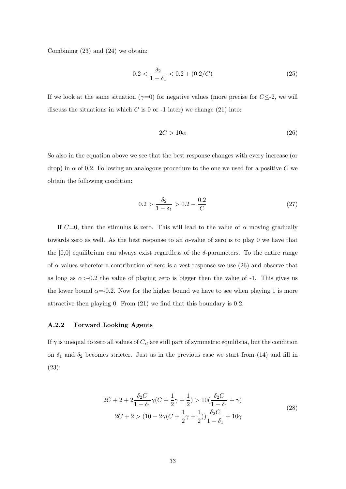Combining [\(23\)](#page-32-1) and [\(24\)](#page-32-2) we obtain:

<span id="page-33-1"></span>
$$
0.2 < \frac{\delta_2}{1 - \delta_1} < 0.2 + (0.2/C) \tag{25}
$$

If we look at the same situation ( $\gamma=0$ ) for negative values (more precise for  $C\leq-2$ , we will discuss the situations in which  $C$  is 0 or -1 later) we change [\(21\)](#page-32-0) into:

<span id="page-33-0"></span>
$$
2C > 10\alpha \tag{26}
$$

So also in the equation above we see that the best response changes with every increase (or drop) in  $\alpha$  of 0.2. Following an analogous procedure to the one we used for a positive C we obtain the following condition:

$$
0.2 > \frac{\delta_2}{1 - \delta_1} > 0.2 - \frac{0.2}{C}
$$
 (27)

If  $C=0$ , then the stimulus is zero. This will lead to the value of  $\alpha$  moving gradually towards zero as well. As the best response to an  $\alpha$ -value of zero is to play 0 we have that the  $[0,0]$  equilibrium can always exist regardless of the  $\delta$ -parameters. To the entire range of  $\alpha$ -values wherefor a contribution of zero is a vest response we use [\(26\)](#page-33-0) and observe that as long as  $\alpha$ >-0.2 the value of playing zero is bigger then the value of -1. This gives us the lower bound  $\alpha = 0.2$ . Now for the higher bound we have to see when playing 1 is more attractive then playing 0. From [\(21\)](#page-32-0) we find that this boundary is 0.2.

#### A.2.2 Forward Looking Agents

If  $\gamma$  is unequal to zero all values of  $C_{it}$  are still part of symmetric equilibria, but the condition on  $\delta_1$  and  $\delta_2$  becomes stricter. Just as in the previous case we start from [\(14\)](#page-31-1) and fill in [\(23\)](#page-32-1):

$$
2C + 2 + 2\frac{\delta_2 C}{1 - \delta_1} \gamma (C + \frac{1}{2}\gamma + \frac{1}{2}) > 10(\frac{\delta_2 C}{1 - \delta_1} + \gamma)
$$
  

$$
2C + 2 > (10 - 2\gamma (C + \frac{1}{2}\gamma + \frac{1}{2}))\frac{\delta_2 C}{1 - \delta_1} + 10\gamma
$$
 (28)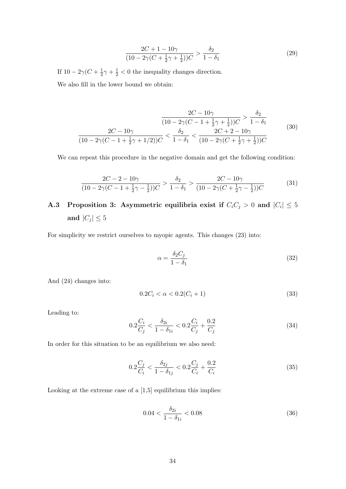$$
\frac{2C + 1 - 10\gamma}{(10 - 2\gamma(C + \frac{1}{2}\gamma + \frac{1}{2}))C} > \frac{\delta_2}{1 - \delta_1}
$$
\n(29)

If  $10 - 2\gamma(C + \frac{1}{2})$  $\frac{1}{2}\gamma + \frac{1}{2} < 0$  the inequality changes direction. We also fill in the lower bound we obtain:

$$
\frac{2C - 10\gamma}{(10 - 2\gamma(C - 1 + \frac{1}{2}\gamma + \frac{1}{2}))C} > \frac{\delta_2}{1 - \delta_1}
$$
  

$$
\frac{2C - 10\gamma}{(10 - 2\gamma(C - 1 + \frac{1}{2}\gamma + 1/2))C} < \frac{\delta_2}{1 - \delta_1} < \frac{2C + 2 - 10\gamma}{(10 - 2\gamma(C + \frac{1}{2}\gamma + \frac{1}{2}))C}
$$
(30)

We can repeat this procedure in the negative domain and get the following condition:

$$
\frac{2C - 2 - 10\gamma}{(10 - 2\gamma(C - 1 + \frac{1}{2}\gamma - \frac{1}{2}))C} > \frac{\delta_2}{1 - \delta_1} > \frac{2C - 10\gamma}{(10 - 2\gamma(C + \frac{1}{2}\gamma - \frac{1}{2}))C}
$$
(31)

A.3 Proposition 3: Asymmetric equilibria exist if  $C_i C_j > 0$  and  $|C_i| \leq 5$ and  $|C_j|\leq 5$ 

For simplicity we restrict ourselves to myopic agents. This changes [\(23\)](#page-32-1) into:

$$
\alpha = \frac{\delta_2 C_j}{1 - \delta_1} \tag{32}
$$

And [\(24\)](#page-32-2) changes into:

$$
0.2C_i < \alpha < 0.2(C_i + 1) \tag{33}
$$

Leading to:

$$
0.2\frac{C_i}{C_j} < \frac{\delta_{2i}}{1 - \delta_{1i}} < 0.2\frac{C_i}{C_j} + \frac{0.2}{C_j} \tag{34}
$$

In order for this situation to be an equilibrium we also need:

$$
0.2\frac{C_j}{C_i} < \frac{\delta_{2j}}{1 - \delta_{1j}} < 0.2\frac{C_j}{C_i} + \frac{0.2}{C_i} \tag{35}
$$

Looking at the extreme case of a  $[1,5]$  equilibrium this implies:

$$
0.04 < \frac{\delta_{2i}}{1 - \delta_{1i}} < 0.08 \tag{36}
$$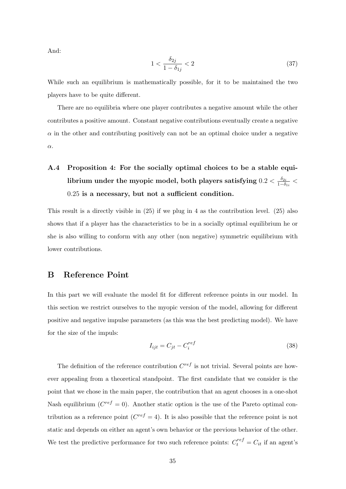And:

$$
1 < \frac{\delta_{2j}}{1 - \delta_{1j}} < 2 \tag{37}
$$

While such an equilibrium is mathematically possible, for it to be maintained the two players have to be quite different.

There are no equilibria where one player contributes a negative amount while the other contributes a positive amount. Constant negative contributions eventually create a negative  $\alpha$  in the other and contributing positively can not be an optimal choice under a negative α.

### A.4 Proposition 4: For the socially optimal choices to be a stable equilibrium under the myopic model, both players satisfying  $0.2 < \frac{\delta_{2i}}{1-\delta_{2i}}$  $\frac{\delta_{2i}}{1-\delta_{1i}}<$ 0.25 is a necessary, but not a sufficient condition.

This result is a directly visible in [\(25\)](#page-33-1) if we plug in 4 as the contribution level. [\(25\)](#page-33-1) also shows that if a player has the characteristics to be in a socially optimal equilibrium he or she is also willing to conform with any other (non negative) symmetric equilibrium with lower contributions.

#### B Reference Point

In this part we will evaluate the model fit for different reference points in our model. In this section we restrict ourselves to the myopic version of the model, allowing for different positive and negative impulse parameters (as this was the best predicting model). We have for the size of the impuls:

<span id="page-35-0"></span>
$$
I_{ijt} = C_{jt} - C_i^{ref} \tag{38}
$$

The definition of the reference contribution  $C^{ref}$  is not trivial. Several points are however appealing from a theoretical standpoint. The first candidate that we consider is the point that we chose in the main paper, the contribution that an agent chooses in a one-shot Nash equilibrium  $(C^{ref} = 0)$ . Another static option is the use of the Pareto optimal contribution as a reference point  $(C^{ref} = 4)$ . It is also possible that the reference point is not static and depends on either an agent's own behavior or the previous behavior of the other. We test the predictive performance for two such reference points:  $C_t^{ref} = C_{it}$  if an agent's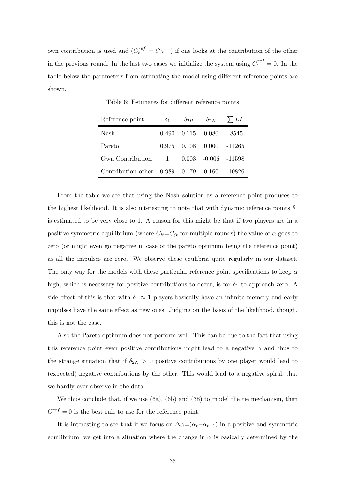own contribution is used and  $(C_t^{ref} = C_{jt-1})$  if one looks at the contribution of the other in the previous round. In the last two cases we initialize the system using  $C_1^{ref} = 0$ . In the table below the parameters from estimating the model using different reference points are shown.

| Reference point                  | $\delta_1$ | $\delta_{2P}$     | $\delta_{2N}$     | $\sum LL$ |
|----------------------------------|------------|-------------------|-------------------|-----------|
| Nash                             |            | 0.490 0.115 0.080 |                   | -8545     |
| Pareto                           |            | 0.975 0.108       | 0.000             | -11265    |
| Own Contribution                 | 1          | 0.003             | $-0.006$ $-11598$ |           |
| Contribution other $0.989$ 0.179 |            |                   | 0.160             | -10826    |

Table 6: Estimates for different reference points

From the table we see that using the Nash solution as a reference point produces to the highest likelihood. It is also interesting to note that with dynamic reference points  $\delta_1$ is estimated to be very close to 1. A reason for this might be that if two players are in a positive symmetric equilibrium (where  $C_{it}=C_{jt}$  for multiple rounds) the value of  $\alpha$  goes to zero (or might even go negative in case of the pareto optimum being the reference point) as all the impulses are zero. We observe these equlibria quite regularly in our dataset. The only way for the models with these particular reference point specifications to keep  $\alpha$ high, which is necessary for positive contributions to occur, is for  $\delta_1$  to approach zero. A side effect of this is that with  $\delta_1 \approx 1$  players basically have an infinite memory and early impulses have the same effect as new ones. Judging on the basis of the likelihood, though, this is not the case.

Also the Pareto optimum does not perform well. This can be due to the fact that using this reference point even positive contributions might lead to a negative  $\alpha$  and thus to the strange situation that if  $\delta_{2N} > 0$  positive contributions by one player would lead to (expected) negative contributions by the other. This would lead to a negative spiral, that we hardly ever observe in the data.

We thus conclude that, if we use  $(6a)$ ,  $(6b)$  and  $(38)$  to model the tie mechanism, then  $C^{ref} = 0$  is the best rule to use for the reference point.

It is interesting to see that if we focus on  $\Delta \alpha = (\alpha_t - \alpha_{t-1})$  in a positive and symmetric equilibrium, we get into a situation where the change in  $\alpha$  is basically determined by the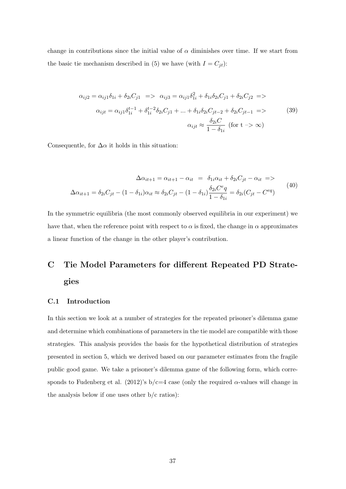change in contributions since the initial value of  $\alpha$  diminishes over time. If we start from the basic tie mechanism described in [\(5\)](#page-5-2) we have (with  $I = C_{jt}$ ):

$$
\alpha_{ij2} = \alpha_{ij1}\delta_{1i} + \delta_{2i}C_{j1} \implies \alpha_{ij3} = \alpha_{ij1}\delta_{1i}^2 + \delta_{1i}\delta_{2i}C_{j1} + \delta_{2i}C_{j2} \implies
$$
  

$$
\alpha_{ijt} = \alpha_{ij1}\delta_{1i}^{t-1} + \delta_{1i}^{t-2}\delta_{2i}C_{j1} + \dots + \delta_{1i}\delta_{2i}C_{jt-2} + \delta_{2i}C_{jt-1} \implies \qquad (39)
$$
  

$$
\alpha_{ijt} \approx \frac{\delta_{2i}C}{1 - \delta_{1i}} \quad \text{(for } t \implies \infty)
$$

Consequentle, for  $\Delta \alpha$  it holds in this situation:

$$
\Delta \alpha_{it+1} = \alpha_{it+1} - \alpha_{it} = \delta_{1i} \alpha_{it} + \delta_{2i} C_{jt} - \alpha_{it} =>
$$
  

$$
\Delta \alpha_{it+1} = \delta_{2i} C_{jt} - (1 - \delta_{1i}) \alpha_{it} \approx \delta_{2i} C_{jt} - (1 - \delta_{1i}) \frac{\delta_{2i} C^{e} q}{1 - \delta_{1i}} = \delta_{2i} (C_{jt} - C^{eq})
$$
 (40)

In the symmetric equilibria (the most commonly observed equilibria in our experiment) we have that, when the reference point with respect to  $\alpha$  is fixed, the change in  $\alpha$  approximates a linear function of the change in the other player's contribution.

# C Tie Model Parameters for different Repeated PD Strategies

#### C.1 Introduction

In this section we look at a number of strategies for the repeated prisoner's dilemma game and determine which combinations of parameters in the tie model are compatible with those strategies. This analysis provides the basis for the hypothetical distribution of strategies presented in section 5, which we derived based on our parameter estimates from the fragile public good game. We take a prisoner's dilemma game of the following form, which corresponds to Fudenberg et al. (2012)'s  $b/c=4$  case (only the required  $\alpha$ -values will change in the analysis below if one uses other  $b/c$  ratios):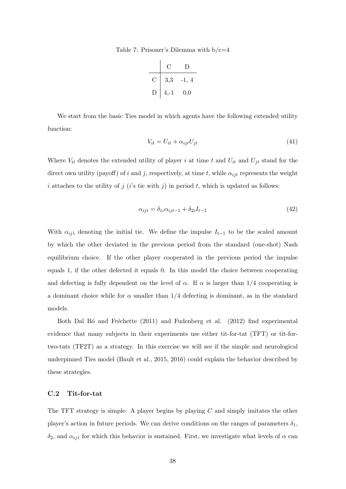Table 7: Prisoner's Dilemma with  $b/c=4$ 

|     | С.     | Ð        |
|-----|--------|----------|
| ( ) | 3,3    | $-1, 4$  |
| D   | $4,-1$ | $_{0,0}$ |

We start from the basic Ties model in which agents have the following extended utility function:

$$
V_{it} = U_{it} + \alpha_{ijt} U_{jt} \tag{41}
$$

Where  $V_{it}$  denotes the extended utility of player i at time t and  $U_{it}$  and  $U_{jt}$  stand for the direct own utility (payoff) of i and j, respectively, at time t, while  $\alpha_{ijt}$  represents the weight i attaches to the utility of j (i's tie with j) in period t, which is updated as follows:

<span id="page-38-0"></span>
$$
\alpha_{ijt} = \delta_{1i}\alpha_{ijt-1} + \delta_{2i}I_{t-1} \tag{42}
$$

With  $\alpha_{ij1}$  denoting the initial tie. We define the impulse  $I_{t-1}$  to be the scaled amount by which the other deviated in the previous period from the standard (one-shot) Nash equilibrium choice. If the other player cooperated in the previous period the impulse equals 1, if the other defected it equals 0. In this model the choice between cooperating and defecting is fully dependent on the level of  $\alpha$ . If  $\alpha$  is larger than 1/4 cooperating is a dominant choice while for  $\alpha$  smaller than 1/4 defecting is dominant, as in the standard models.

Both Dal B<sub>o</sub> and Fréchette  $(2011)$  and Fudenberg et al.  $(2012)$  find experimental evidence that many subjects in their experiments use either tit-for-tat (TFT) or tit-fortwo-tats (TF2T) as a strategy. In this exercise we will see if the simple and neurological underpinned Ties model [\(Bault et al., 2015,](#page-28-2) [2016\)](#page-28-1) could explain the behavior described by these strategies.

#### C.2 Tit-for-tat

The TFT strategy is simple: A player begins by playing  $C$  and simply imitates the other player's action in future periods. We can derive conditions on the ranges of parameters  $\delta_1$ ,  $\delta_2$ , and  $\alpha_{ij1}$  for which this behavior is sustained. First, we investigate what levels of  $\alpha$  can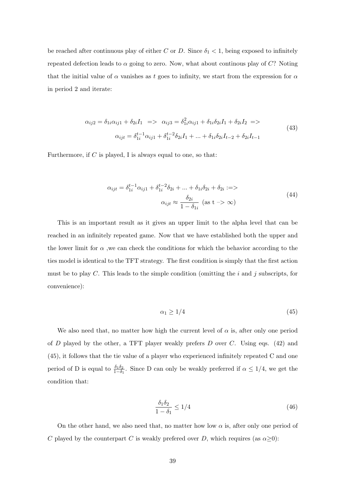be reached after continuous play of either C or D. Since  $\delta_1 < 1$ , being exposed to infinitely repeated defection leads to  $\alpha$  going to zero. Now, what about continous play of C? Noting that the initial value of  $\alpha$  vanishes as t goes to infinity, we start from the expression for  $\alpha$ in period 2 and iterate:

$$
\alpha_{ij2} = \delta_{1i}\alpha_{ij1} + \delta_{2i}I_1 \implies \alpha_{ij3} = \delta_{1i}^2\alpha_{ij1} + \delta_{1i}\delta_{2i}I_1 + \delta_{2i}I_2 \implies
$$
  

$$
\alpha_{ijt} = \delta_{1i}^{t-1}\alpha_{ij1} + \delta_{1i}^{t-2}\delta_{2i}I_1 + \dots + \delta_{1i}\delta_{2i}I_{t-2} + \delta_{2i}I_{t-1}
$$
(43)

<span id="page-39-2"></span>Furthermore, if  $C$  is played, I is always equal to one, so that:

$$
\alpha_{ijt} = \delta_{1i}^{t-1} \alpha_{ij1} + \delta_{1i}^{t-2} \delta_{2i} + \dots + \delta_{1i} \delta_{2i} + \delta_{2i} :=>
$$
  

$$
\alpha_{ijt} \approx \frac{\delta_{2i}}{1 - \delta_{1i}} \text{ (as } t \to \infty)
$$
 (44)

This is an important result as it gives an upper limit to the alpha level that can be reached in an infinitely repeated game. Now that we have established both the upper and the lower limit for  $\alpha$ , we can check the conditions for which the behavior according to the ties model is identical to the TFT strategy. The first condition is simply that the first action must be to play C. This leads to the simple condition (omitting the i and j subscripts, for convenience):

<span id="page-39-0"></span>
$$
\alpha_1 \ge 1/4 \tag{45}
$$

We also need that, no matter how high the current level of  $\alpha$  is, after only one period of D played by the other, a TFT player weakly prefers D over C. Using eqs.  $(42)$  and [\(45\)](#page-39-0), it follows that the tie value of a player who experienced infinitely repeated C and one period of D is equal to  $\frac{\delta_1 \delta_2}{1-\delta_1}$ . Since D can only be weakly preferred if  $\alpha \leq 1/4$ , we get the condition that:

<span id="page-39-1"></span>
$$
\frac{\delta_1 \delta_2}{1 - \delta_1} \le 1/4 \tag{46}
$$

On the other hand, we also need that, no matter how low  $\alpha$  is, after only one period of C played by the counterpart C is weakly prefered over D, which requires (as  $\alpha \geq 0$ ):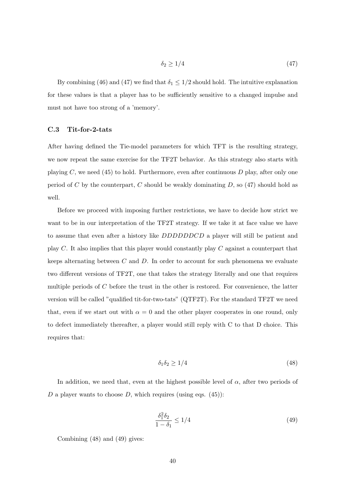<span id="page-40-0"></span>
$$
\delta_2 \ge 1/4 \tag{47}
$$

By combining [\(46\)](#page-39-1) and [\(47\)](#page-40-0) we find that  $\delta_1 \leq 1/2$  should hold. The intuitive explanation for these values is that a player has to be sufficiently sensitive to a changed impulse and must not have too strong of a 'memory'.

#### C.3 Tit-for-2-tats

After having defined the Tie-model parameters for which TFT is the resulting strategy, we now repeat the same exercise for the TF2T behavior. As this strategy also starts with playing  $C$ , we need [\(45\)](#page-39-0) to hold. Furthermore, even after continuous  $D$  play, after only one period of C by the counterpart, C should be weakly dominating  $D$ , so [\(47\)](#page-40-0) should hold as well.

Before we proceed with imposing further restrictions, we have to decide how strict we want to be in our interpretation of the TF2T strategy. If we take it at face value we have to assume that even after a history like DDDDDDCD a player will still be patient and play C. It also implies that this player would constantly play C against a counterpart that keeps alternating between  $C$  and  $D$ . In order to account for such phenomena we evaluate two different versions of TF2T, one that takes the strategy literally and one that requires multiple periods of  $C$  before the trust in the other is restored. For convenience, the latter version will be called "qualified tit-for-two-tats" (QTF2T). For the standard TF2T we need that, even if we start out with  $\alpha = 0$  and the other player cooperates in one round, only to defect immediately thereafter, a player would still reply with C to that D choice. This requires that:

<span id="page-40-1"></span>
$$
\delta_1 \delta_2 \ge 1/4 \tag{48}
$$

In addition, we need that, even at the highest possible level of  $\alpha$ , after two periods of D a player wants to choose D, which requires (using eqs.  $(45)$ ):

<span id="page-40-2"></span>
$$
\frac{\delta_1^2 \delta_2}{1 - \delta_1} \le 1/4 \tag{49}
$$

Combining [\(48\)](#page-40-1) and [\(49\)](#page-40-2) gives: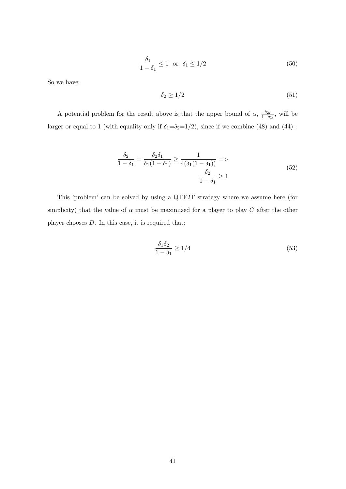$$
\frac{\delta_1}{1 - \delta_1} \le 1 \quad \text{or} \quad \delta_1 \le 1/2 \tag{50}
$$

So we have:

$$
\delta_2 \ge 1/2 \tag{51}
$$

A potential problem for the result above is that the upper bound of  $\alpha$ ,  $\frac{\delta_{2i}}{1-\delta}$  $\frac{\delta_{2i}}{1-\delta_{1i}},$  will be larger or equal to 1 (with equality only if  $\delta_1=\delta_2=1/2$ ), since if we combine [\(48\)](#page-40-1) and [\(44\)](#page-39-2):

$$
\frac{\delta_2}{1 - \delta_1} = \frac{\delta_2 \delta_1}{\delta_1 (1 - \delta_1)} \ge \frac{1}{4(\delta_1 (1 - \delta_1))} =>
$$
\n
$$
\frac{\delta_2}{1 - \delta_1} \ge 1
$$
\n(52)

This 'problem' can be solved by using a QTF2T strategy where we assume here (for simplicity) that the value of  $\alpha$  must be maximized for a player to play C after the other player chooses  $D$ . In this case, it is required that:

$$
\frac{\delta_1 \delta_2}{1 - \delta_1} \ge 1/4 \tag{53}
$$